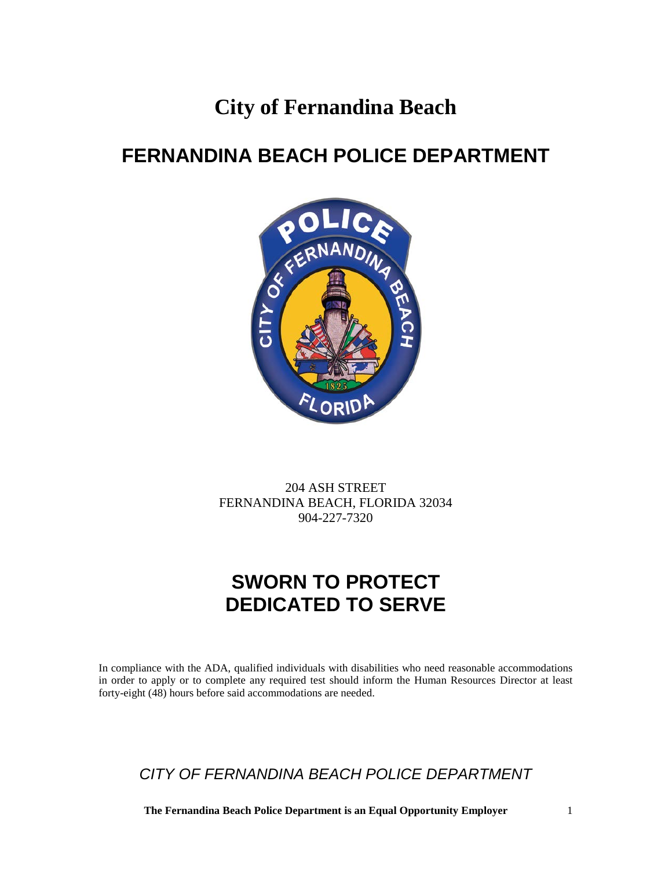**City of Fernandina Beach** 

# **FERNANDINA BEACH POLICE DEPARTMENT**



204 ASH STREET FERNANDINA BEACH, FLORIDA 32034 904-227-7320

# **SWORN TO PROTECT DEDICATED TO SERVE**

In compliance with the ADA, qualified individuals with disabilities who need reasonable accommodations in order to apply or to complete any required test should inform the Human Resources Director at least forty-eight (48) hours before said accommodations are needed.

*CITY OF FERNANDINA BEACH POLICE DEPARTMENT*

**The Fernandina Beach Police Department is an Equal Opportunity Employer** 1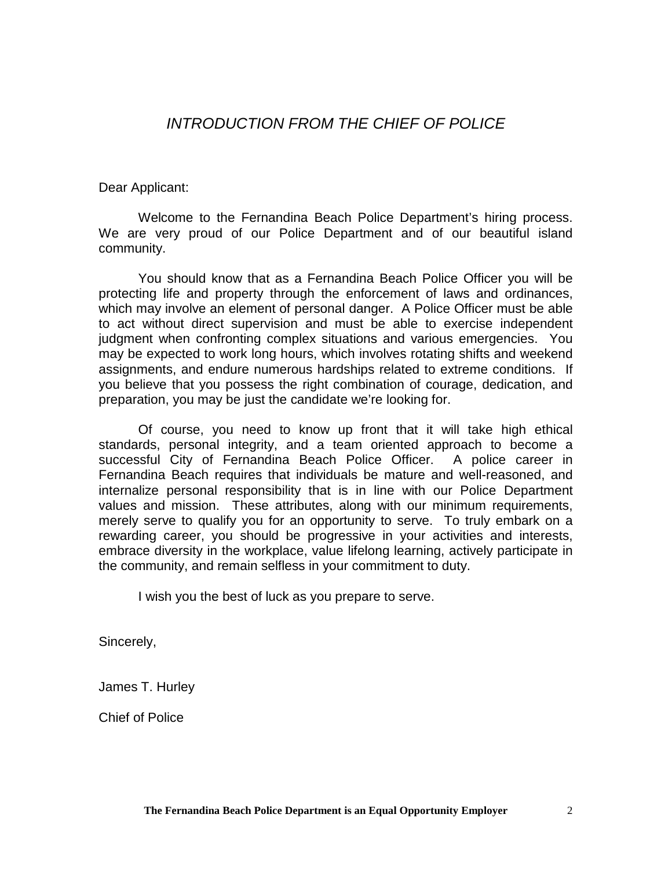# *INTRODUCTION FROM THE CHIEF OF POLICE*

Dear Applicant:

Welcome to the Fernandina Beach Police Department's hiring process. We are very proud of our Police Department and of our beautiful island community.

You should know that as a Fernandina Beach Police Officer you will be protecting life and property through the enforcement of laws and ordinances, which may involve an element of personal danger. A Police Officer must be able to act without direct supervision and must be able to exercise independent judgment when confronting complex situations and various emergencies. You may be expected to work long hours, which involves rotating shifts and weekend assignments, and endure numerous hardships related to extreme conditions. If you believe that you possess the right combination of courage, dedication, and preparation, you may be just the candidate we're looking for.

Of course, you need to know up front that it will take high ethical standards, personal integrity, and a team oriented approach to become a successful City of Fernandina Beach Police Officer. A police career in Fernandina Beach requires that individuals be mature and well-reasoned, and internalize personal responsibility that is in line with our Police Department values and mission. These attributes, along with our minimum requirements, merely serve to qualify you for an opportunity to serve. To truly embark on a rewarding career, you should be progressive in your activities and interests, embrace diversity in the workplace, value lifelong learning, actively participate in the community, and remain selfless in your commitment to duty.

I wish you the best of luck as you prepare to serve.

Sincerely,

James T. Hurley

Chief of Police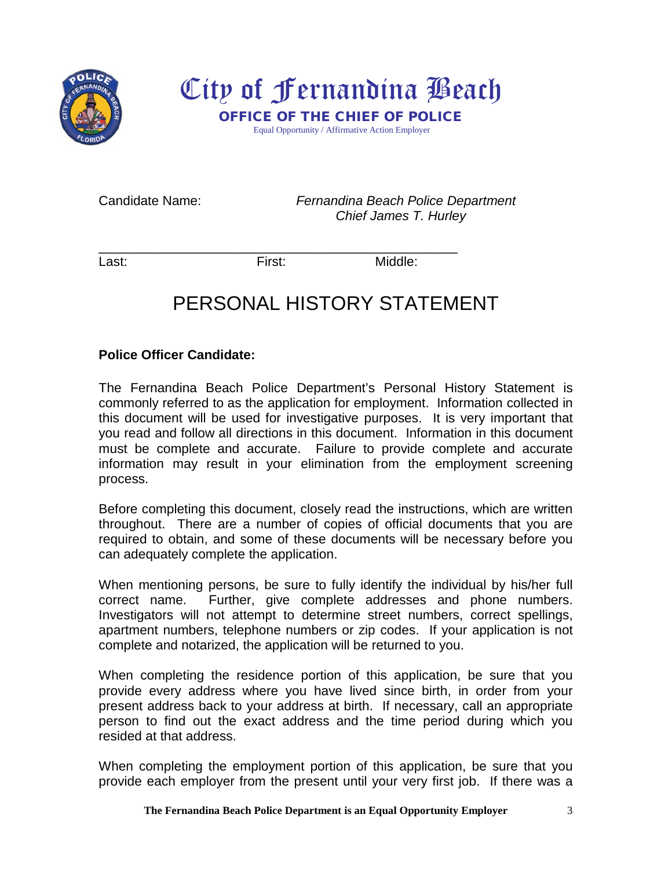



Equal Opportunity / Affirmative Action Employer

Candidate Name: *Fernandina Beach Police Department Chief James T. Hurley* 

\_\_\_\_\_\_\_\_\_\_\_\_\_\_\_\_\_\_\_\_\_\_\_\_\_\_\_\_\_\_\_\_\_\_\_\_\_\_\_\_\_\_\_\_\_\_\_\_\_ Last: Cast: Eirst: Cast: Middle: Eirst: Middle:

# PERSONAL HISTORY STATEMENT

# **Police Officer Candidate:**

The Fernandina Beach Police Department's Personal History Statement is commonly referred to as the application for employment. Information collected in this document will be used for investigative purposes. It is very important that you read and follow all directions in this document. Information in this document must be complete and accurate. Failure to provide complete and accurate information may result in your elimination from the employment screening process.

Before completing this document, closely read the instructions, which are written throughout. There are a number of copies of official documents that you are required to obtain, and some of these documents will be necessary before you can adequately complete the application.

When mentioning persons, be sure to fully identify the individual by his/her full correct name. Further, give complete addresses and phone numbers. Investigators will not attempt to determine street numbers, correct spellings, apartment numbers, telephone numbers or zip codes. If your application is not complete and notarized, the application will be returned to you.

When completing the residence portion of this application, be sure that you provide every address where you have lived since birth, in order from your present address back to your address at birth. If necessary, call an appropriate person to find out the exact address and the time period during which you resided at that address.

When completing the employment portion of this application, be sure that you provide each employer from the present until your very first job. If there was a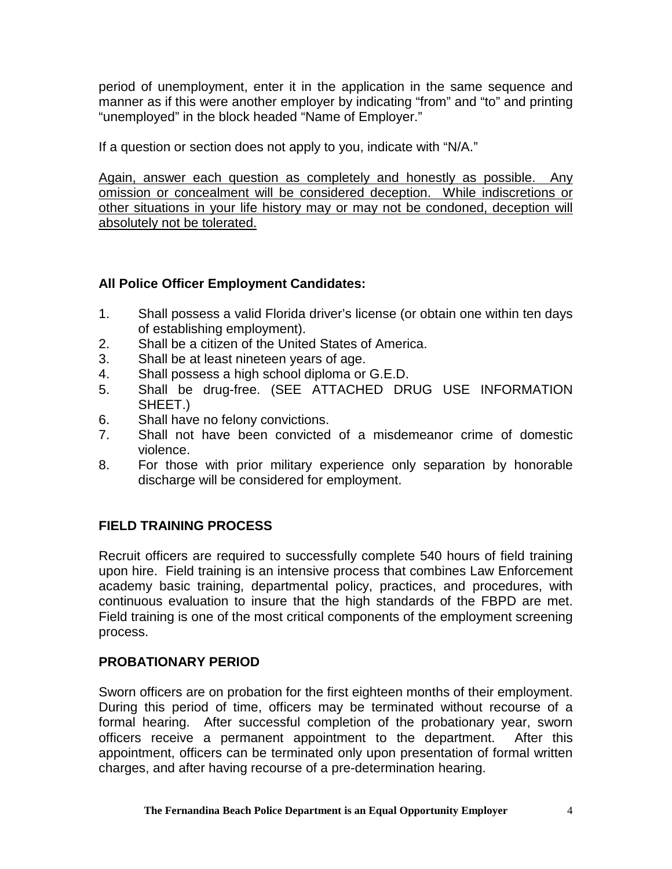period of unemployment, enter it in the application in the same sequence and manner as if this were another employer by indicating "from" and "to" and printing "unemployed" in the block headed "Name of Employer."

If a question or section does not apply to you, indicate with "N/A."

Again, answer each question as completely and honestly as possible. Any omission or concealment will be considered deception. While indiscretions or other situations in your life history may or may not be condoned, deception will absolutely not be tolerated.

# **All Police Officer Employment Candidates:**

- 1. Shall possess a valid Florida driver's license (or obtain one within ten days of establishing employment).
- 2. Shall be a citizen of the United States of America.
- 3. Shall be at least nineteen years of age.
- 4. Shall possess a high school diploma or G.E.D.
- 5. Shall be drug-free. (SEE ATTACHED DRUG USE INFORMATION SHEET.)
- 6. Shall have no felony convictions.
- 7. Shall not have been convicted of a misdemeanor crime of domestic violence.
- 8. For those with prior military experience only separation by honorable discharge will be considered for employment.

# **FIELD TRAINING PROCESS**

Recruit officers are required to successfully complete 540 hours of field training upon hire. Field training is an intensive process that combines Law Enforcement academy basic training, departmental policy, practices, and procedures, with continuous evaluation to insure that the high standards of the FBPD are met. Field training is one of the most critical components of the employment screening process.

# **PROBATIONARY PERIOD**

Sworn officers are on probation for the first eighteen months of their employment. During this period of time, officers may be terminated without recourse of a formal hearing. After successful completion of the probationary year, sworn officers receive a permanent appointment to the department. After this appointment, officers can be terminated only upon presentation of formal written charges, and after having recourse of a pre-determination hearing.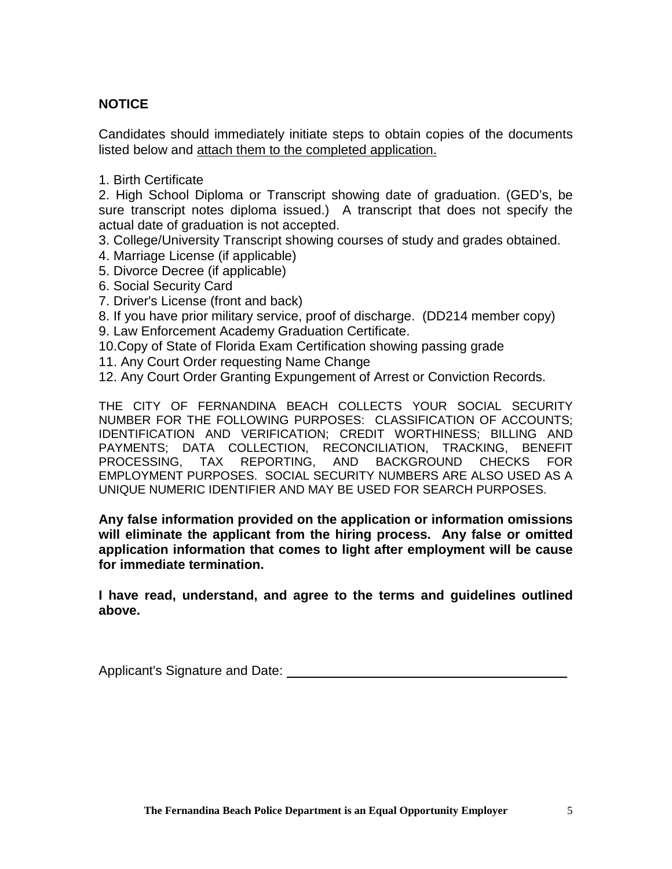# **NOTICE**

Candidates should immediately initiate steps to obtain copies of the documents listed below and attach them to the completed application.

1. Birth Certificate

2. High School Diploma or Transcript showing date of graduation. (GED's, be sure transcript notes diploma issued.) A transcript that does not specify the actual date of graduation is not accepted.

- 3. College/University Transcript showing courses of study and grades obtained.
- 4. Marriage License (if applicable)
- 5. Divorce Decree (if applicable)
- 6. Social Security Card
- 7. Driver's License (front and back)

8. If you have prior military service, proof of discharge. (DD214 member copy) 9. Law Enforcement Academy Graduation Certificate.

10.Copy of State of Florida Exam Certification showing passing grade

11. Any Court Order requesting Name Change

12. Any Court Order Granting Expungement of Arrest or Conviction Records.

THE CITY OF FERNANDINA BEACH COLLECTS YOUR SOCIAL SECURITY NUMBER FOR THE FOLLOWING PURPOSES: CLASSIFICATION OF ACCOUNTS; IDENTIFICATION AND VERIFICATION; CREDIT WORTHINESS; BILLING AND PAYMENTS; DATA COLLECTION, RECONCILIATION, TRACKING, BENEFIT PROCESSING, TAX REPORTING, AND BACKGROUND CHECKS FOR EMPLOYMENT PURPOSES. SOCIAL SECURITY NUMBERS ARE ALSO USED AS A UNIQUE NUMERIC IDENTIFIER AND MAY BE USED FOR SEARCH PURPOSES.

**Any false information provided on the application or information omissions will eliminate the applicant from the hiring process. Any false or omitted application information that comes to light after employment will be cause for immediate termination.** 

**I have read, understand, and agree to the terms and guidelines outlined above.**

Applicant's Signature and Date: \_\_\_\_\_\_\_\_\_\_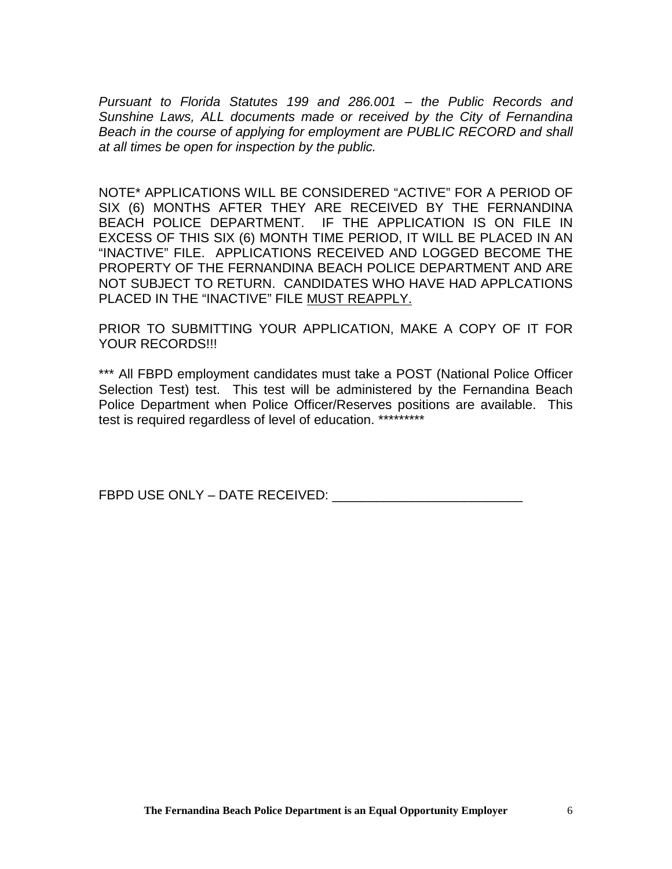*Pursuant to Florida Statutes 199 and 286.001 – the Public Records and Sunshine Laws, ALL documents made or received by the City of Fernandina Beach in the course of applying for employment are PUBLIC RECORD and shall at all times be open for inspection by the public.*

NOTE\* APPLICATIONS WILL BE CONSIDERED "ACTIVE" FOR A PERIOD OF SIX (6) MONTHS AFTER THEY ARE RECEIVED BY THE FERNANDINA BEACH POLICE DEPARTMENT. IF THE APPLICATION IS ON FILE IN EXCESS OF THIS SIX (6) MONTH TIME PERIOD, IT WILL BE PLACED IN AN "INACTIVE" FILE. APPLICATIONS RECEIVED AND LOGGED BECOME THE PROPERTY OF THE FERNANDINA BEACH POLICE DEPARTMENT AND ARE NOT SUBJECT TO RETURN. CANDIDATES WHO HAVE HAD APPLCATIONS PLACED IN THE "INACTIVE" FILE MUST REAPPLY.

PRIOR TO SUBMITTING YOUR APPLICATION, MAKE A COPY OF IT FOR YOUR RECORDS!!!

\*\*\* All FBPD employment candidates must take a POST (National Police Officer Selection Test) test. This test will be administered by the Fernandina Beach Police Department when Police Officer/Reserves positions are available. This test is required regardless of level of education. \*\*\*\*\*\*\*\*\*

FBPD USE ONLY – DATE RECEIVED: \_\_\_\_\_\_\_\_\_\_\_\_\_\_\_\_\_\_\_\_\_\_\_\_\_\_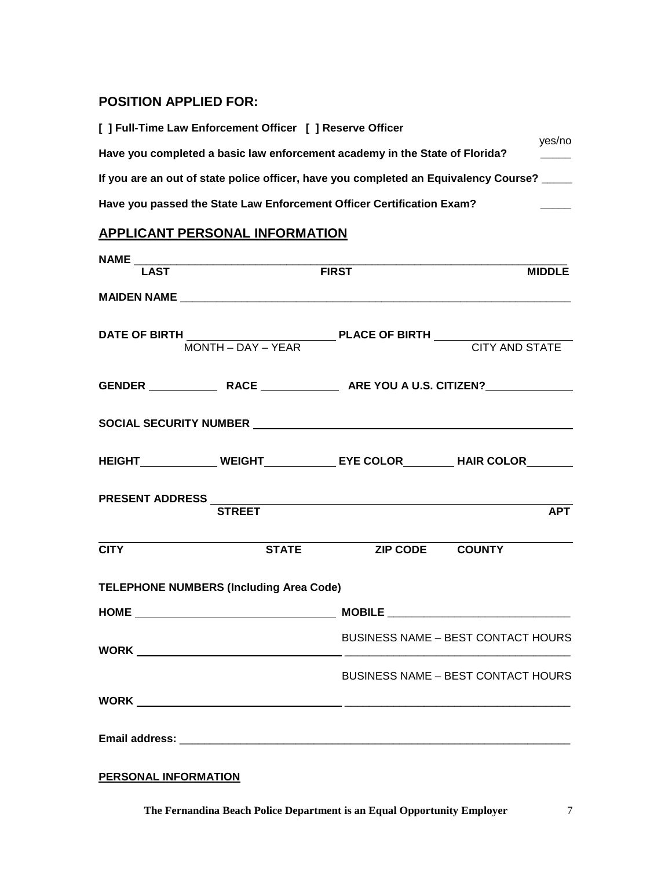# **POSITION APPLIED FOR:**

| [] Full-Time Law Enforcement Officer [] Reserve Officer                              |        |
|--------------------------------------------------------------------------------------|--------|
| Have you completed a basic law enforcement academy in the State of Florida?          | yes/no |
| If you are an out of state police officer, have you completed an Equivalency Course? |        |
| Have you passed the State Law Enforcement Officer Certification Exam?                |        |

# **APPLICANT PERSONAL INFORMATION**

| LAST                        |                                                                                | <b>FIRST</b> |                                           |
|-----------------------------|--------------------------------------------------------------------------------|--------------|-------------------------------------------|
|                             |                                                                                |              |                                           |
|                             | DATE OF BIRTH MONTH - DAY - YEAR PLACE OF BIRTH CITY AND STATE                 |              |                                           |
|                             |                                                                                |              |                                           |
|                             |                                                                                |              |                                           |
|                             |                                                                                |              |                                           |
|                             | HEIGHT _____________WEIGHT______________EYE COLOR__________HAIR COLOR_________ |              |                                           |
|                             | PRESENT ADDRESS<br><b>STREET</b>                                               |              | $\overline{APT}$                          |
| <b>CITY</b>                 | <b>STATE ZIP CODE COUNTY</b>                                                   |              |                                           |
|                             | <b>TELEPHONE NUMBERS (Including Area Code)</b>                                 |              |                                           |
|                             |                                                                                |              |                                           |
|                             |                                                                                |              | BUSINESS NAME - BEST CONTACT HOURS        |
|                             |                                                                                |              | <b>BUSINESS NAME - BEST CONTACT HOURS</b> |
|                             |                                                                                |              |                                           |
|                             |                                                                                |              |                                           |
| <b>PERSONAL INFORMATION</b> |                                                                                |              |                                           |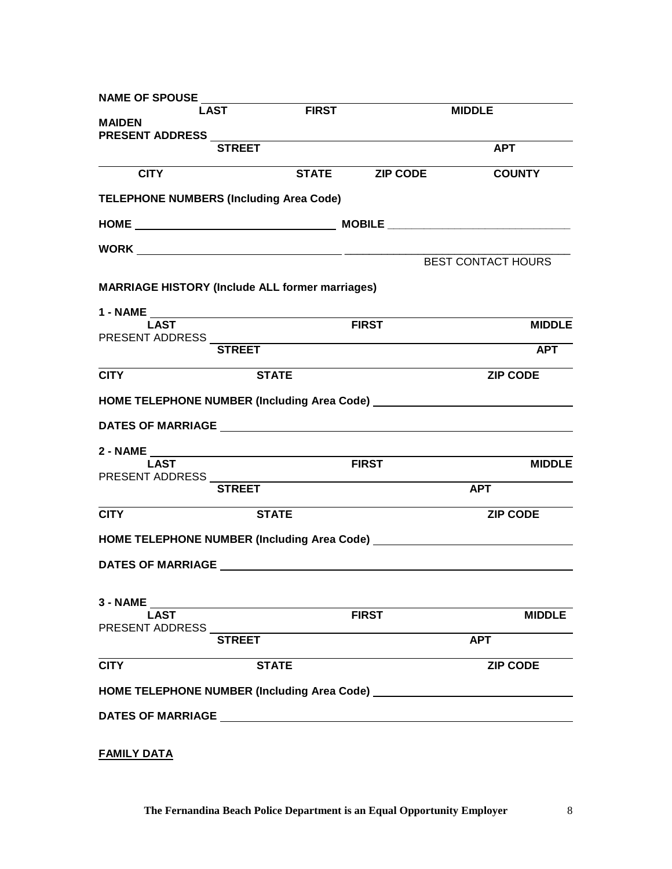| <b>NAME OF SPOUSE</b>                                                                                                                                                                                                          |               |                                                              |                           |
|--------------------------------------------------------------------------------------------------------------------------------------------------------------------------------------------------------------------------------|---------------|--------------------------------------------------------------|---------------------------|
| LAST                                                                                                                                                                                                                           | <b>FIRST</b>  |                                                              | <b>MIDDLE</b>             |
| <b>MAIDEN</b>                                                                                                                                                                                                                  |               |                                                              |                           |
|                                                                                                                                                                                                                                | <b>STREET</b> |                                                              | APT                       |
|                                                                                                                                                                                                                                |               |                                                              |                           |
| <b>CITY</b>                                                                                                                                                                                                                    |               | STATE ZIP CODE                                               | <b>COUNTY</b>             |
| <b>TELEPHONE NUMBERS (Including Area Code)</b>                                                                                                                                                                                 |               |                                                              |                           |
|                                                                                                                                                                                                                                |               |                                                              |                           |
|                                                                                                                                                                                                                                |               |                                                              |                           |
|                                                                                                                                                                                                                                |               |                                                              | <b>BEST CONTACT HOURS</b> |
| <b>MARRIAGE HISTORY (Include ALL former marriages)</b>                                                                                                                                                                         |               |                                                              |                           |
| 1 - NAME<br>LAST                                                                                                                                                                                                               |               | <b>FIRST</b>                                                 | <b>MIDDLE</b>             |
| PRESENT ADDRESS ______                                                                                                                                                                                                         |               | <u> 1989 - Johann Stein, mars an de Britannich (b. 1989)</u> |                           |
|                                                                                                                                                                                                                                | <b>STREET</b> |                                                              | <b>APT</b>                |
| <b>CITY</b>                                                                                                                                                                                                                    | <b>STATE</b>  |                                                              | <b>ZIP CODE</b>           |
|                                                                                                                                                                                                                                |               |                                                              |                           |
|                                                                                                                                                                                                                                |               |                                                              |                           |
|                                                                                                                                                                                                                                |               |                                                              |                           |
| <b>LAST</b>                                                                                                                                                                                                                    |               | <b>EIRST</b>                                                 | <b>MIDDLE</b>             |
| PRESENT ADDRESS _______                                                                                                                                                                                                        | <b>STREET</b> |                                                              | APT                       |
|                                                                                                                                                                                                                                |               |                                                              |                           |
| <b>CITY</b>                                                                                                                                                                                                                    | <b>STATE</b>  |                                                              | <b>ZIP CODE</b>           |
|                                                                                                                                                                                                                                |               |                                                              |                           |
| DATES OF MARRIAGE NAMES OF MARRIAGE                                                                                                                                                                                            |               |                                                              |                           |
|                                                                                                                                                                                                                                |               |                                                              |                           |
| <b>3 - NAME</b>                                                                                                                                                                                                                |               |                                                              |                           |
| <b>LAST</b><br>PRESENT ADDRESS                                                                                                                                                                                                 |               | <b>FIRST</b>                                                 | <b>MIDDLE</b>             |
|                                                                                                                                                                                                                                | <b>STREET</b> |                                                              | <b>APT</b>                |
| <b>CITY</b>                                                                                                                                                                                                                    | <b>STATE</b>  |                                                              | <b>ZIP CODE</b>           |
| HOME TELEPHONE NUMBER (Including Area Code) Manuscription of the Code of the Code of the Code of the Code of the Code of the Code of the Code of the Code of the Code of the Code of the Code of the Code of the Code of the C |               |                                                              |                           |
|                                                                                                                                                                                                                                |               |                                                              |                           |
|                                                                                                                                                                                                                                |               |                                                              |                           |
| DATES OF MARRIAGE NAMES OF MARRIAGE                                                                                                                                                                                            |               |                                                              |                           |

**FAMILY DATA**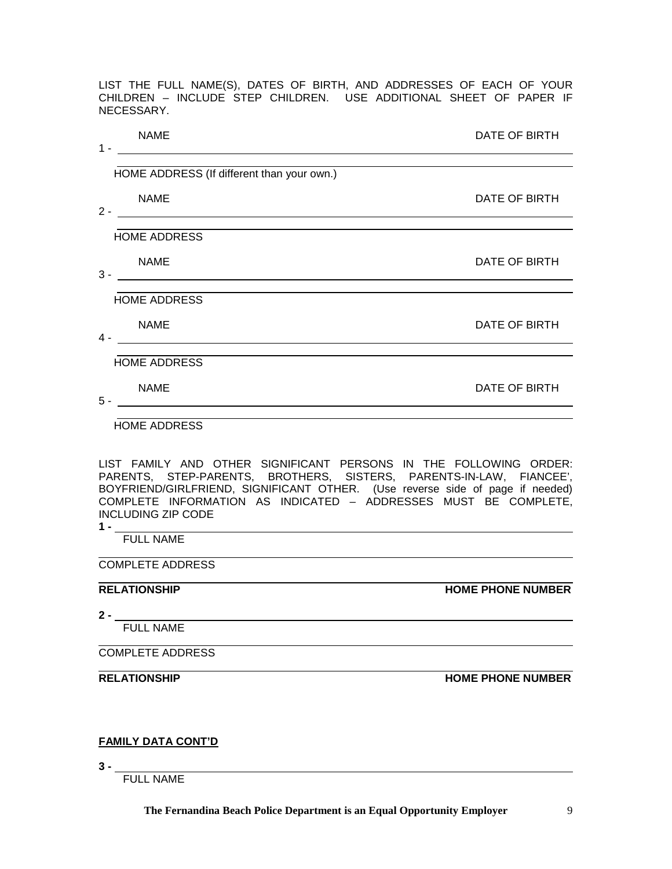LIST THE FULL NAME(S), DATES OF BIRTH, AND ADDRESSES OF EACH OF YOUR CHILDREN – INCLUDE STEP CHILDREN. USE ADDITIONAL SHEET OF PAPER IF NECESSARY.

| DATE OF BIRTH |
|---------------|
|               |
| DATE OF BIRTH |
|               |
| DATE OF BIRTH |
|               |
| DATE OF BIRTH |
|               |
| DATE OF BIRTH |
|               |
|               |

LIST FAMILY AND OTHER SIGNIFICANT PERSONS IN THE FOLLOWING ORDER: PARENTS, STEP-PARENTS, BROTHERS, SISTERS, PARENTS-IN-LAW, FIANCEE', BOYFRIEND/GIRLFRIEND, SIGNIFICANT OTHER. (Use reverse side of page if needed) COMPLETE INFORMATION AS INDICATED – ADDRESSES MUST BE COMPLETE, INCLUDING ZIP CODE

**1 -** FULL NAME

COMPLETE ADDRESS

**RELATIONSHIP HOME PHONE NUMBER** 

**2 -**

FULL NAME

COMPLETE ADDRESS

**RELATIONSHIP HOME PHONE NUMBER** 

#### **FAMILY DATA CONT'D**

**3 -**

FULL NAME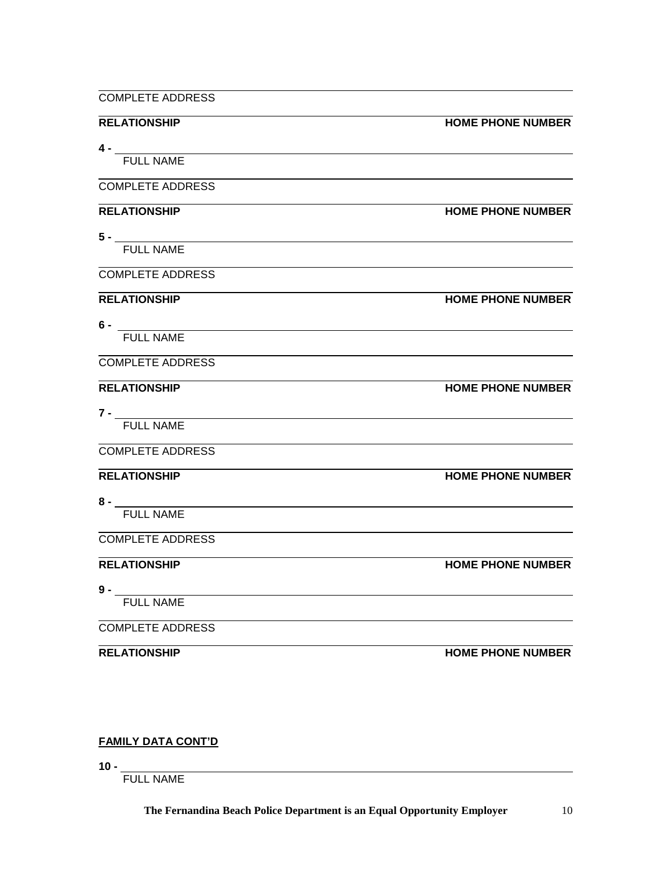| <b>HOME PHONE NUMBER</b> |
|--------------------------|
|                          |
|                          |
|                          |
| <b>HOME PHONE NUMBER</b> |
|                          |
|                          |
|                          |
| <b>HOME PHONE NUMBER</b> |
|                          |
|                          |
|                          |
| <b>HOME PHONE NUMBER</b> |
|                          |
|                          |
|                          |
| <b>HOME PHONE NUMBER</b> |
|                          |
|                          |
|                          |
| <b>HOME PHONE NUMBER</b> |
|                          |
|                          |
|                          |
| <b>HOME PHONE NUMBER</b> |
|                          |

# **FAMILY DATA CONT'D**

**10 -**

FULL NAME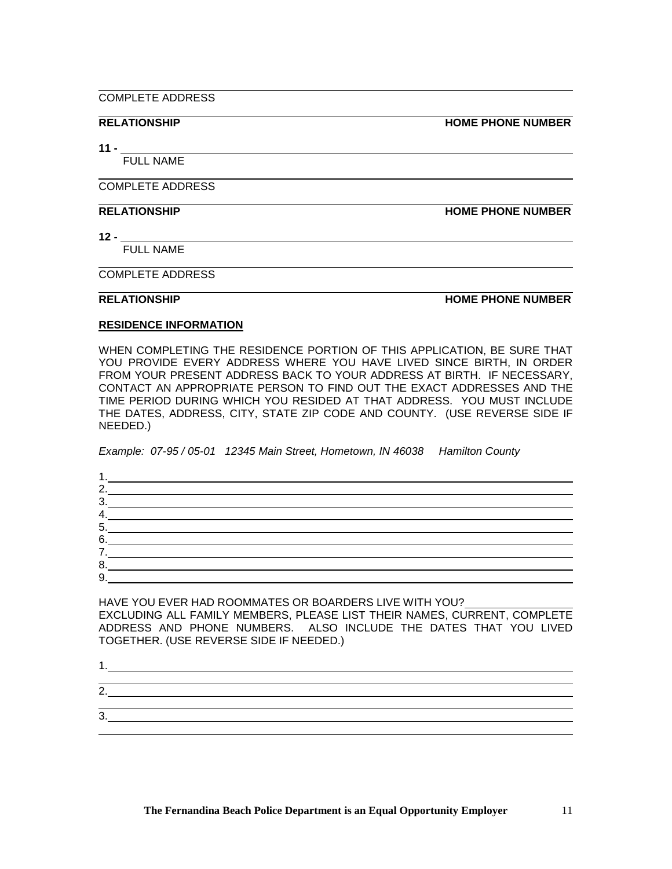COMPLETE ADDRESS

**RELATIONSHIP HOME PHONE NUMBER** 

**11 -**

FULL NAME

COMPLETE ADDRESS

**RELATIONSHIP HOME PHONE NUMBER** 

**12 -**

FULL NAME

COMPLETE ADDRESS

**RELATIONSHIP IN EXAMPLE 2008 THE RELATIONSHIP IN EXAMPLE 2009 THE PHONE PHONE NUMBER** 

#### **RESIDENCE INFORMATION**

WHEN COMPLETING THE RESIDENCE PORTION OF THIS APPLICATION, BE SURE THAT YOU PROVIDE EVERY ADDRESS WHERE YOU HAVE LIVED SINCE BIRTH, IN ORDER FROM YOUR PRESENT ADDRESS BACK TO YOUR ADDRESS AT BIRTH. IF NECESSARY, CONTACT AN APPROPRIATE PERSON TO FIND OUT THE EXACT ADDRESSES AND THE TIME PERIOD DURING WHICH YOU RESIDED AT THAT ADDRESS. YOU MUST INCLUDE THE DATES, ADDRESS, CITY, STATE ZIP CODE AND COUNTY. (USE REVERSE SIDE IF NEEDED.)

*Example: 07-95 / 05-01 12345 Main Street, Hometown, IN 46038 Hamilton County*

| 2. |                                                                                                                 |  |  |
|----|-----------------------------------------------------------------------------------------------------------------|--|--|
| 3. | the contract of the contract of the contract of the contract of the contract of the contract of the contract of |  |  |
| 4. |                                                                                                                 |  |  |
| 5. |                                                                                                                 |  |  |
| 6. |                                                                                                                 |  |  |
| 7. |                                                                                                                 |  |  |
| 8. |                                                                                                                 |  |  |
| 9. |                                                                                                                 |  |  |

HAVE YOU EVER HAD ROOMMATES OR BOARDERS LIVE WITH YOU? EXCLUDING ALL FAMILY MEMBERS, PLEASE LIST THEIR NAMES, CURRENT, COMPLETE ADDRESS AND PHONE NUMBERS. ALSO INCLUDE THE DATES THAT YOU LIVED TOGETHER. (USE REVERSE SIDE IF NEEDED.)

| c       |  |  |  |
|---------|--|--|--|
|         |  |  |  |
| ີ<br>л. |  |  |  |
|         |  |  |  |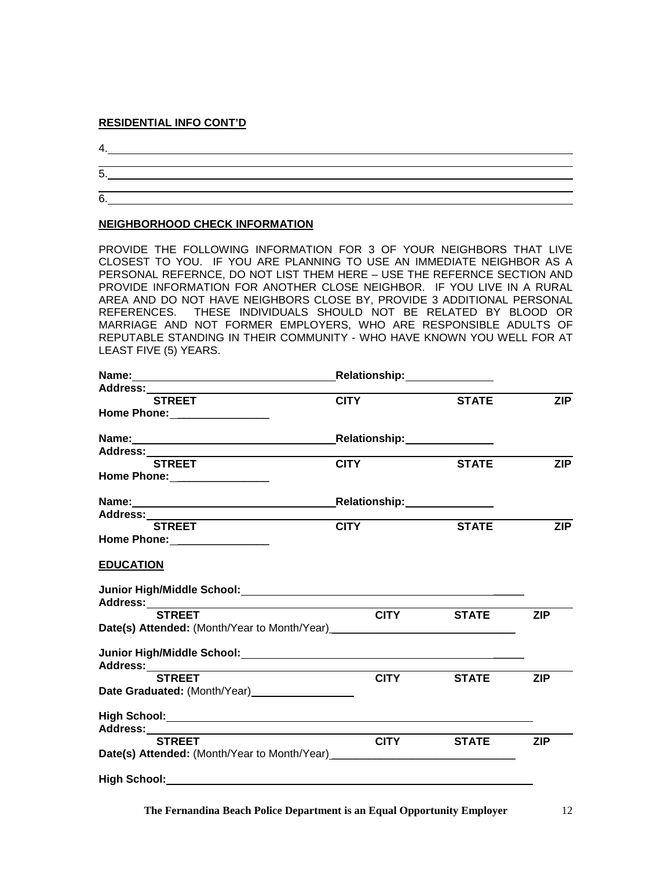#### **RESIDENTIAL INFO CONT'D**

4.

 $\frac{1}{5}$ .

6.

#### **NEIGHBORHOOD CHECK INFORMATION**

PROVIDE THE FOLLOWING INFORMATION FOR 3 OF YOUR NEIGHBORS THAT LIVE CLOSEST TO YOU. IF YOU ARE PLANNING TO USE AN IMMEDIATE NEIGHBOR AS A PERSONAL REFERNCE, DO NOT LIST THEM HERE – USE THE REFERNCE SECTION AND PROVIDE INFORMATION FOR ANOTHER CLOSE NEIGHBOR. IF YOU LIVE IN A RURAL AREA AND DO NOT HAVE NEIGHBORS CLOSE BY, PROVIDE 3 ADDITIONAL PERSONAL REFERENCES. THESE INDIVIDUALS SHOULD NOT BE RELATED BY BLOOD OR MARRIAGE AND NOT FORMER EMPLOYERS, WHO ARE RESPONSIBLE ADULTS OF REPUTABLE STANDING IN THEIR COMMUNITY - WHO HAVE KNOWN YOU WELL FOR AT LEAST FIVE (5) YEARS.

|                                                                                                                                                                                                                               | Relationship: Nelationship:                                                                                                                                                                                                    |              |            |
|-------------------------------------------------------------------------------------------------------------------------------------------------------------------------------------------------------------------------------|--------------------------------------------------------------------------------------------------------------------------------------------------------------------------------------------------------------------------------|--------------|------------|
| Address:_________                                                                                                                                                                                                             |                                                                                                                                                                                                                                |              |            |
| <b>STREET</b>                                                                                                                                                                                                                 | <b>CITY</b>                                                                                                                                                                                                                    | <b>STATE</b> | <b>ZIP</b> |
| Home Phone: ________________                                                                                                                                                                                                  |                                                                                                                                                                                                                                |              |            |
| Name: 2008 2010 2020 2021 2022 2023 2024 2022 2022 2023 2024 2022 2023 2024 2022 2023 2024 2022 2023 2024 2025                                                                                                                | Relationship: Network of Allen Control Control Control Control Control Control Control Control Control Control Control Control Control Control Control Control Control Control Control Control Control Control Control Control |              |            |
| Address:_______________________                                                                                                                                                                                               |                                                                                                                                                                                                                                |              |            |
| <b>STREET</b>                                                                                                                                                                                                                 | <b>CITY</b>                                                                                                                                                                                                                    | <b>STATE</b> | <b>ZIP</b> |
| Home Phone: _________________                                                                                                                                                                                                 |                                                                                                                                                                                                                                |              |            |
| Name: Name and the second contract of the second contract of the second contract of the second contract of the second contract of the second contract of the second contract of the second contract of the second contract of | Relationship:_______________                                                                                                                                                                                                   |              |            |
|                                                                                                                                                                                                                               |                                                                                                                                                                                                                                |              |            |
| <b>STREET</b>                                                                                                                                                                                                                 | <b>CITY</b>                                                                                                                                                                                                                    | <b>STATE</b> | <b>ZIP</b> |
| Home Phone: _________________                                                                                                                                                                                                 |                                                                                                                                                                                                                                |              |            |
| <b>EDUCATION</b>                                                                                                                                                                                                              |                                                                                                                                                                                                                                |              |            |
|                                                                                                                                                                                                                               |                                                                                                                                                                                                                                |              |            |
|                                                                                                                                                                                                                               |                                                                                                                                                                                                                                |              |            |
| <b>STREET</b>                                                                                                                                                                                                                 | <b>CITY</b>                                                                                                                                                                                                                    | <b>STATE</b> | <b>ZIP</b> |
| Date(s) Attended: (Month/Year to Month/Year) ___________________________________                                                                                                                                              |                                                                                                                                                                                                                                |              |            |
|                                                                                                                                                                                                                               |                                                                                                                                                                                                                                |              |            |
| <b>STREET</b>                                                                                                                                                                                                                 | <b>CITY</b>                                                                                                                                                                                                                    | <b>STATE</b> | <b>ZIP</b> |
| Date Graduated: (Month/Year) _________________                                                                                                                                                                                |                                                                                                                                                                                                                                |              |            |
|                                                                                                                                                                                                                               |                                                                                                                                                                                                                                |              |            |
|                                                                                                                                                                                                                               |                                                                                                                                                                                                                                |              |            |
| <b>STREET</b>                                                                                                                                                                                                                 | <b>CITY CITY</b>                                                                                                                                                                                                               | <b>STATE</b> | <b>ZIP</b> |
| Date(s) Attended: (Month/Year to Month/Year) ___________________________________                                                                                                                                              |                                                                                                                                                                                                                                |              |            |
|                                                                                                                                                                                                                               |                                                                                                                                                                                                                                |              |            |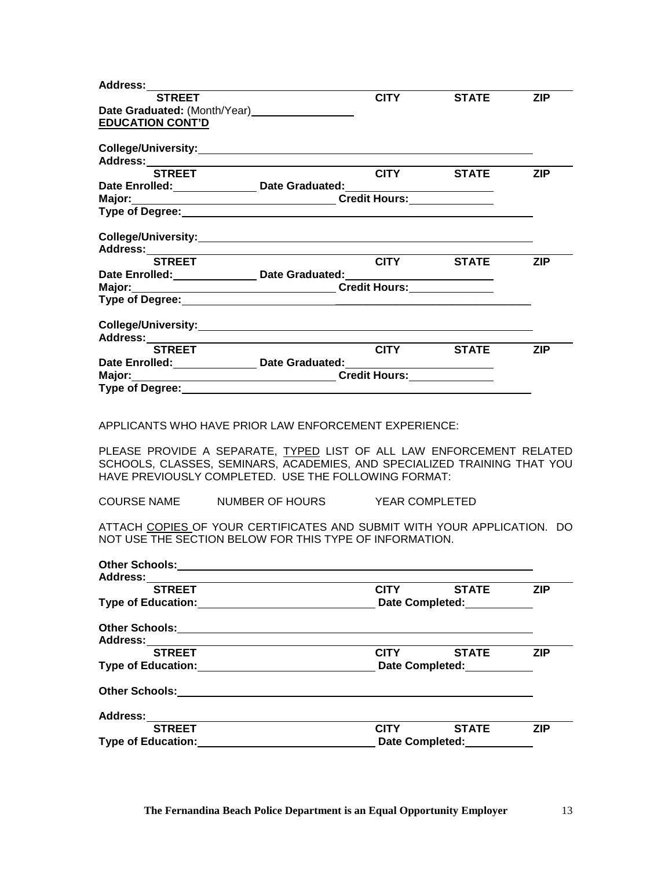| <b>Address:</b>                     |                                                                                                                                                                                                           |                  |                                   |            |
|-------------------------------------|-----------------------------------------------------------------------------------------------------------------------------------------------------------------------------------------------------------|------------------|-----------------------------------|------------|
| <b>STREET</b>                       |                                                                                                                                                                                                           | <b>CITY CITY</b> | <b>STATE</b>                      | <b>ZIP</b> |
|                                     | Date Graduated: (Month/Year) _________________                                                                                                                                                            |                  |                                   |            |
| <b>EDUCATION CONT'D</b>             |                                                                                                                                                                                                           |                  |                                   |            |
|                                     |                                                                                                                                                                                                           |                  |                                   |            |
|                                     |                                                                                                                                                                                                           |                  |                                   |            |
|                                     |                                                                                                                                                                                                           |                  |                                   |            |
| <b>STREET</b>                       |                                                                                                                                                                                                           |                  | <b>CITY</b> STATE                 | <b>ZIP</b> |
|                                     | Date Enrolled: Date Graduated: Date Enrolled:                                                                                                                                                             |                  |                                   |            |
|                                     |                                                                                                                                                                                                           |                  |                                   |            |
|                                     |                                                                                                                                                                                                           |                  |                                   |            |
|                                     |                                                                                                                                                                                                           |                  |                                   |            |
|                                     |                                                                                                                                                                                                           |                  |                                   |            |
|                                     |                                                                                                                                                                                                           |                  |                                   |            |
| <b>STREET</b>                       |                                                                                                                                                                                                           | <b>CITY</b>      | <b>STATE</b>                      | <b>ZIP</b> |
|                                     |                                                                                                                                                                                                           |                  |                                   |            |
|                                     |                                                                                                                                                                                                           |                  |                                   |            |
|                                     |                                                                                                                                                                                                           |                  |                                   |            |
|                                     |                                                                                                                                                                                                           |                  |                                   |            |
|                                     |                                                                                                                                                                                                           |                  |                                   |            |
| Address: _________<br><b>STREET</b> | <b>EXECUTE STATE</b>                                                                                                                                                                                      |                  |                                   | <b>ZIP</b> |
|                                     |                                                                                                                                                                                                           |                  |                                   |            |
|                                     | Date Enrolled: Date Graduated: Date Graduated:                                                                                                                                                            |                  |                                   |            |
|                                     |                                                                                                                                                                                                           |                  |                                   |            |
|                                     |                                                                                                                                                                                                           |                  |                                   |            |
|                                     | APPLICANTS WHO HAVE PRIOR LAW ENFORCEMENT EXPERIENCE:<br>PLEASE PROVIDE A SEPARATE, TYPED LIST OF ALL LAW ENFORCEMENT RELATED<br>SCHOOLS, CLASSES, SEMINARS, ACADEMIES, AND SPECIALIZED TRAINING THAT YOU |                  |                                   |            |
|                                     | HAVE PREVIOUSLY COMPLETED. USE THE FOLLOWING FORMAT:<br>COURSE NAME NUMBER OF HOURS YEAR COMPLETED                                                                                                        |                  |                                   |            |
|                                     |                                                                                                                                                                                                           |                  |                                   |            |
|                                     | ATTACH COPIES OF YOUR CERTIFICATES AND SUBMIT WITH YOUR APPLICATION. DO<br>NOT USE THE SECTION BELOW FOR THIS TYPE OF INFORMATION.                                                                        |                  |                                   |            |
| <b>Other Schools:</b>               |                                                                                                                                                                                                           |                  |                                   |            |
| Address:                            |                                                                                                                                                                                                           |                  |                                   |            |
| <b>STREET</b>                       |                                                                                                                                                                                                           | <b>CITY</b>      | <b>STATE</b>                      | <b>ZIP</b> |
|                                     |                                                                                                                                                                                                           |                  | Date Completed: ___________       |            |
|                                     |                                                                                                                                                                                                           |                  |                                   |            |
|                                     |                                                                                                                                                                                                           |                  |                                   |            |
| <b>Address:</b>                     |                                                                                                                                                                                                           |                  |                                   |            |
| <b>STREET</b>                       |                                                                                                                                                                                                           | <b>CITY</b>      | <b>STATE</b>                      | <b>ZIP</b> |
|                                     | Type of Education: Manual Assemblue Control of Education:                                                                                                                                                 |                  | Date Completed:<br><u> Letter</u> |            |
|                                     |                                                                                                                                                                                                           |                  |                                   |            |
| <b>Address:</b>                     |                                                                                                                                                                                                           |                  |                                   |            |
| <b>STREET</b>                       |                                                                                                                                                                                                           | <b>CITY</b>      | <b>STATE</b>                      | <b>ZIP</b> |
|                                     |                                                                                                                                                                                                           |                  | Date Completed: Date Completed:   |            |
|                                     |                                                                                                                                                                                                           |                  |                                   |            |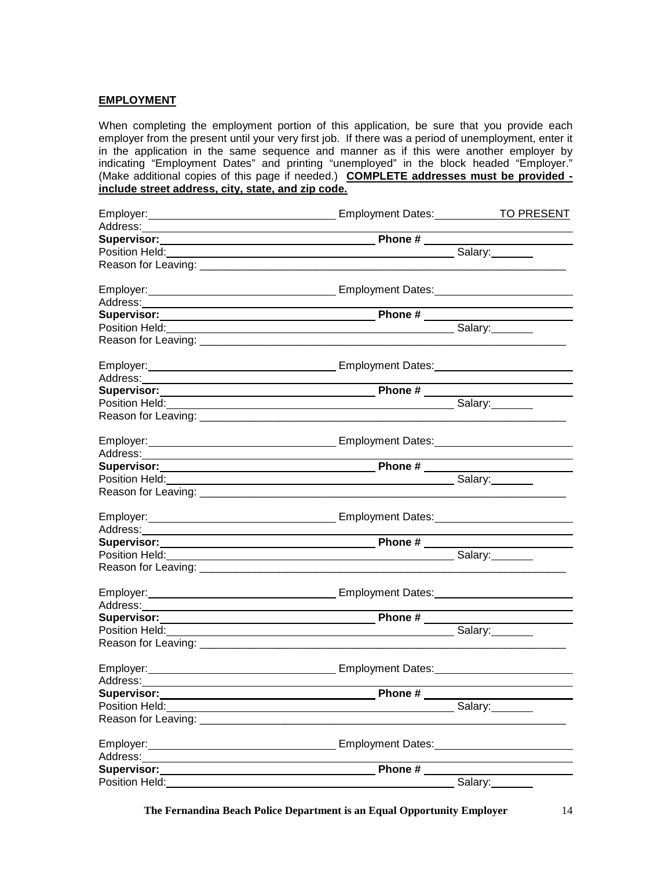#### **EMPLOYMENT**

When completing the employment portion of this application, be sure that you provide each employer from the present until your very first job. If there was a period of unemployment, enter it in the application in the same sequence and manner as if this were another employer by indicating "Employment Dates" and printing "unemployed" in the block headed "Employer." (Make additional copies of this page if needed.) **COMPLETE addresses must be provided include street address, city, state, and zip code.**

|                                    | Employer: TO PRESENT Employment Dates: TO PRESENT                                                                                                                                                                               |                       |
|------------------------------------|---------------------------------------------------------------------------------------------------------------------------------------------------------------------------------------------------------------------------------|-----------------------|
|                                    |                                                                                                                                                                                                                                 |                       |
|                                    |                                                                                                                                                                                                                                 |                       |
|                                    | Position Held: Salary: Salary: Salary: Salary: Salary: Salary: Salary: Salary: Salary: Salary: Salary: Salary: Salary: Salary: Salary: Salary: Salary: Salary: Salary: Salary: Salary: Salary: Salary: Salary: Salary: Salary:  |                       |
|                                    |                                                                                                                                                                                                                                 |                       |
|                                    |                                                                                                                                                                                                                                 |                       |
|                                    |                                                                                                                                                                                                                                 |                       |
|                                    |                                                                                                                                                                                                                                 |                       |
|                                    |                                                                                                                                                                                                                                 |                       |
|                                    |                                                                                                                                                                                                                                 |                       |
|                                    |                                                                                                                                                                                                                                 |                       |
| Address: _________________________ |                                                                                                                                                                                                                                 |                       |
|                                    |                                                                                                                                                                                                                                 |                       |
|                                    | Position Held: Salary: Salary: Salary: Salary: Salary: Salary: Salary: Salary: Salary: Salary: Salary: Salary: Salary: Salary: Salary: Salary: Salary: Salary: Salary: Salary: Salary: Salary: Salary: Salary: Salary: Salary:  |                       |
|                                    |                                                                                                                                                                                                                                 |                       |
|                                    |                                                                                                                                                                                                                                 |                       |
|                                    |                                                                                                                                                                                                                                 |                       |
|                                    | Supervisor: Maria Contra Contra Contra Contra Contra Contra Contra Contra Contra Contra Contra Contra Contra Contra<br>Position Held: Maria Contra Contra Contra Contra Contra Contra Contra Contra Contra Contra Contra Contra |                       |
|                                    |                                                                                                                                                                                                                                 |                       |
|                                    |                                                                                                                                                                                                                                 |                       |
|                                    | Employer: Contract Contract Contract Contract Contract Contract Contract Contract Contract Contract Contract Contract Contract Contract Contract Contract Contract Contract Contract Contract Contract Contract Contract Contr  |                       |
|                                    |                                                                                                                                                                                                                                 |                       |
|                                    | Supervisor: Phone #                                                                                                                                                                                                             |                       |
|                                    |                                                                                                                                                                                                                                 |                       |
|                                    |                                                                                                                                                                                                                                 |                       |
|                                    |                                                                                                                                                                                                                                 |                       |
|                                    |                                                                                                                                                                                                                                 |                       |
|                                    |                                                                                                                                                                                                                                 |                       |
|                                    | Position Held: Salary: Salary: Salary: Salary: Salary: Salary: Salary: Salary: Salary: Salary: Salary: Salary: Salary: Salary: Salary: Salary: Salary: Salary: Salary: Salary: Salary: Salary: Salary: Salary: Salary: Salary:  |                       |
|                                    |                                                                                                                                                                                                                                 |                       |
|                                    | Employer: Employee: Employee: Employee: Employee: Employee: Employee: Employee: Employee: Employee: Employee: Employee: Employee: Employee: Employee: Employee: Employee: Employee: Employee: Employee: Employee: Employee: Em  |                       |
| Address:                           |                                                                                                                                                                                                                                 |                       |
| Supervisor:                        | Phone#                                                                                                                                                                                                                          |                       |
| Position Held:                     |                                                                                                                                                                                                                                 | Salary: $\frac{1}{2}$ |
|                                    |                                                                                                                                                                                                                                 |                       |
|                                    | Employer: Complete Complete Complete Complete Complete Complete Complete Complete Complete Complete Complete Complete Complete Complete Complete Complete Complete Complete Complete Complete Complete Complete Complete Compl  |                       |
| Address:                           |                                                                                                                                                                                                                                 |                       |
| <b>Supervisor:</b>                 | Phone #                                                                                                                                                                                                                         |                       |
| Position Held: Note                |                                                                                                                                                                                                                                 | Salary:               |

**The Fernandina Beach Police Department is an Equal Opportunity Employer** 14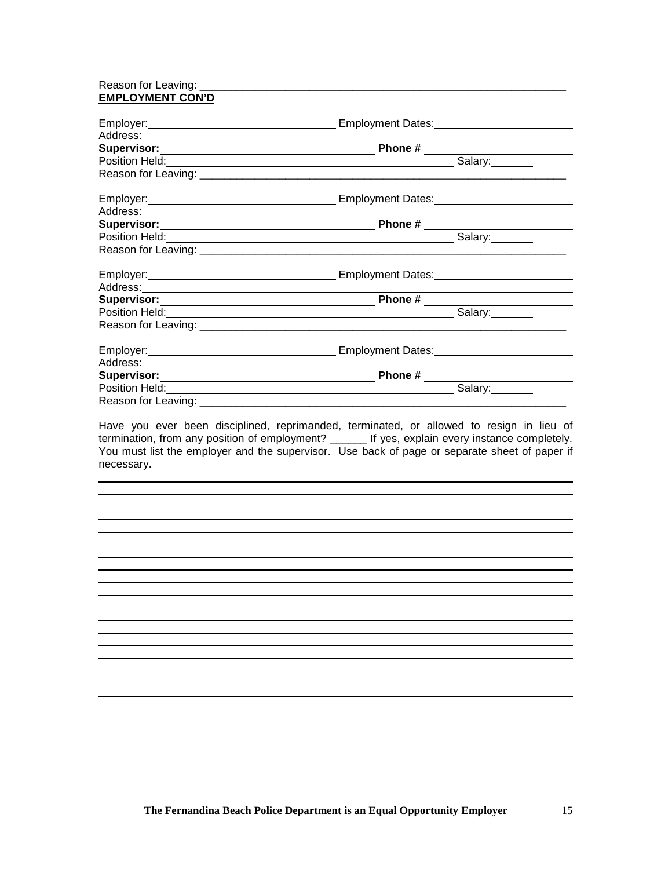#### Reason for Leaving: \_\_\_\_\_\_\_\_\_\_\_\_\_\_\_\_\_\_\_\_\_\_\_\_\_\_\_\_\_\_\_\_\_\_\_\_\_\_\_\_\_\_\_\_\_\_\_\_\_\_\_\_\_\_\_\_\_\_\_\_ **EMPLOYMENT CON'D**

|                                                                                                                                                                                                                                     | Position Held: Salary: Contract of the Salary: Contract of the Salary:                                                                                                                                                                                                                        |
|-------------------------------------------------------------------------------------------------------------------------------------------------------------------------------------------------------------------------------------|-----------------------------------------------------------------------------------------------------------------------------------------------------------------------------------------------------------------------------------------------------------------------------------------------|
|                                                                                                                                                                                                                                     |                                                                                                                                                                                                                                                                                               |
|                                                                                                                                                                                                                                     |                                                                                                                                                                                                                                                                                               |
| Address: Address:                                                                                                                                                                                                                   |                                                                                                                                                                                                                                                                                               |
|                                                                                                                                                                                                                                     |                                                                                                                                                                                                                                                                                               |
|                                                                                                                                                                                                                                     | Supervisor:<br>Position Held:<br>Position Held:<br>Constant of the Marine Salary:                                                                                                                                                                                                             |
|                                                                                                                                                                                                                                     |                                                                                                                                                                                                                                                                                               |
|                                                                                                                                                                                                                                     |                                                                                                                                                                                                                                                                                               |
| Address: <u>Address:</u> Address: Address: Address: Address: Address: Address: Address: Address: Address: Address: Address: Address: Address: Address: Address: Address: Address: Address: Address: Address: Address: Address: Addr |                                                                                                                                                                                                                                                                                               |
|                                                                                                                                                                                                                                     | Supervisor:<br>Position Held:<br>Position Held:<br>Contact Device Phone #                                                                                                                                                                                                                     |
|                                                                                                                                                                                                                                     |                                                                                                                                                                                                                                                                                               |
|                                                                                                                                                                                                                                     |                                                                                                                                                                                                                                                                                               |
|                                                                                                                                                                                                                                     |                                                                                                                                                                                                                                                                                               |
|                                                                                                                                                                                                                                     |                                                                                                                                                                                                                                                                                               |
|                                                                                                                                                                                                                                     |                                                                                                                                                                                                                                                                                               |
|                                                                                                                                                                                                                                     |                                                                                                                                                                                                                                                                                               |
|                                                                                                                                                                                                                                     |                                                                                                                                                                                                                                                                                               |
| necessary.                                                                                                                                                                                                                          | Have you ever been disciplined, reprimanded, terminated, or allowed to resign in lieu of<br>termination, from any position of employment? _______ If yes, explain every instance completely.<br>You must list the employer and the supervisor. Use back of page or separate sheet of paper if |
|                                                                                                                                                                                                                                     |                                                                                                                                                                                                                                                                                               |
|                                                                                                                                                                                                                                     |                                                                                                                                                                                                                                                                                               |

<u> 1980 - Johann Barn, mars eta bainar eta baina eta baina eta baina eta baina eta baina eta baina eta baina e</u>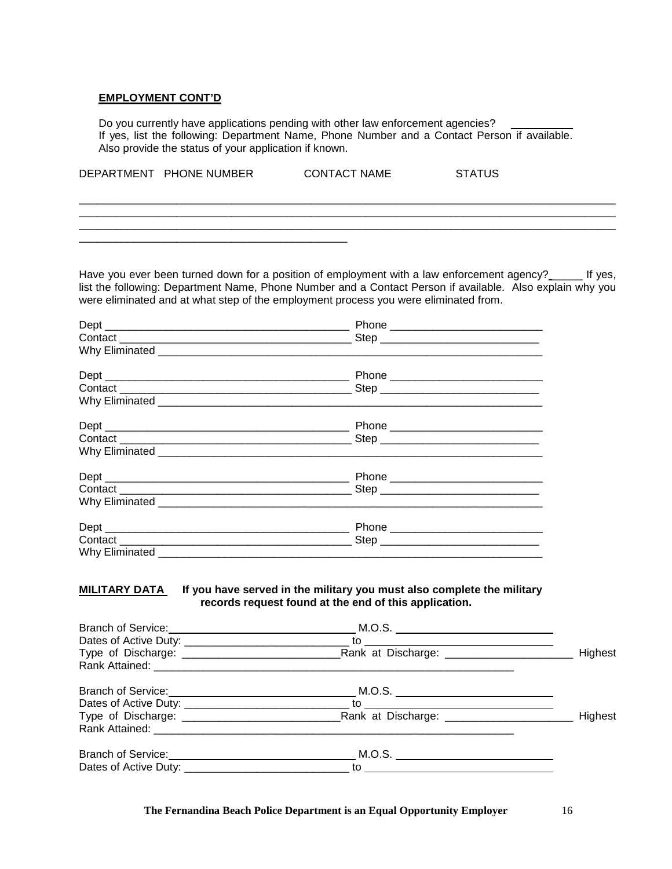#### **EMPLOYMENT CONT'D**

\_\_\_\_\_\_\_\_\_\_\_\_\_\_\_\_\_\_\_\_\_\_\_\_\_\_\_\_\_\_\_\_\_\_\_\_\_\_\_\_\_\_\_\_

Do you currently have applications pending with other law enforcement agencies? If yes, list the following: Department Name, Phone Number and a Contact Person if available. Also provide the status of your application if known.

| <b>DEPAR</b><br>ΓMFNT | …г PHONF NUMBFR | CONTACT<br>NAME | ਵ⊤∧⊤ |
|-----------------------|-----------------|-----------------|------|
|                       |                 |                 |      |

\_\_\_\_\_\_\_\_\_\_\_\_\_\_\_\_\_\_\_\_\_\_\_\_\_\_\_\_\_\_\_\_\_\_\_\_\_\_\_\_\_\_\_\_\_\_\_\_\_\_\_\_\_\_\_\_\_\_\_\_\_\_\_\_\_\_\_\_\_\_\_\_\_\_\_\_\_\_\_\_\_\_\_\_\_\_\_\_ \_\_\_\_\_\_\_\_\_\_\_\_\_\_\_\_\_\_\_\_\_\_\_\_\_\_\_\_\_\_\_\_\_\_\_\_\_\_\_\_\_\_\_\_\_\_\_\_\_\_\_\_\_\_\_\_\_\_\_\_\_\_\_\_\_\_\_\_\_\_\_\_\_\_\_\_\_\_\_\_\_\_\_\_\_\_\_\_

Have you ever been turned down for a position of employment with a law enforcement agency? If yes, list the following: Department Name, Phone Number and a Contact Person if available. Also explain why you were eliminated and at what step of the employment process you were eliminated from.

#### **MILITARY DATA If you have served in the military you must also complete the military records request found at the end of this application.**

| Branch of Service:<br><u> </u>                                                                                                                                                                                                      |                                                      |         |
|-------------------------------------------------------------------------------------------------------------------------------------------------------------------------------------------------------------------------------------|------------------------------------------------------|---------|
|                                                                                                                                                                                                                                     |                                                      |         |
|                                                                                                                                                                                                                                     |                                                      | Highest |
|                                                                                                                                                                                                                                     |                                                      |         |
|                                                                                                                                                                                                                                     |                                                      |         |
|                                                                                                                                                                                                                                     |                                                      |         |
|                                                                                                                                                                                                                                     | Rank at Discharge: _______________________           | Highest |
|                                                                                                                                                                                                                                     |                                                      |         |
| Branch of Service: <u>contained</u> and the service of the service of the service of the service of the service of the service of the service of the service of the service of the service of the service of the service of the ser |                                                      |         |
| Dates of Active Duty:                                                                                                                                                                                                               | $\overline{\phantom{a}}$ to $\overline{\phantom{a}}$ |         |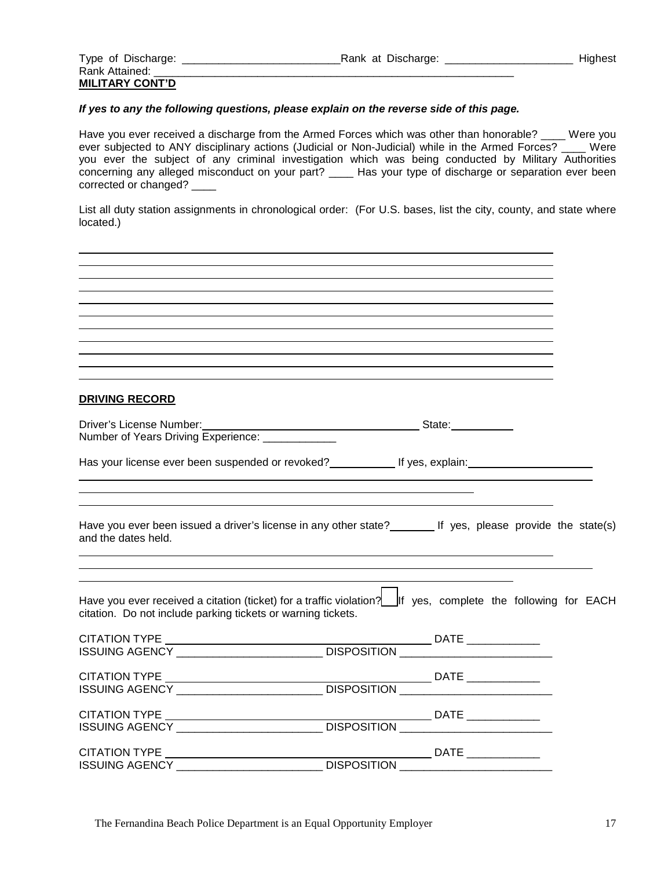#### *If yes to any the following questions, please explain on the reverse side of this page.*

Have you ever received a discharge from the Armed Forces which was other than honorable? \_\_\_\_ Were you ever subjected to ANY disciplinary actions (Judicial or Non-Judicial) while in the Armed Forces? Were you ever the subject of any criminal investigation which was being conducted by Military Authorities concerning any alleged misconduct on your part? \_\_\_\_ Has your type of discharge or separation ever been corrected or changed? \_\_\_\_

List all duty station assignments in chronological order: (For U.S. bases, list the city, county, and state where located.)

|                                                                                                                                                                                                                                       | ,我们也不会有什么。""我们的人,我们也不会有什么?""我们的人,我们也不会有什么?""我们的人,我们也不会有什么?""我们的人,我们也不会有什么?""我们的人 |  |
|---------------------------------------------------------------------------------------------------------------------------------------------------------------------------------------------------------------------------------------|----------------------------------------------------------------------------------|--|
|                                                                                                                                                                                                                                       |                                                                                  |  |
|                                                                                                                                                                                                                                       |                                                                                  |  |
| ,我们也不会有什么。""我们的人,我们也不会有什么?""我们的人,我们也不会有什么?""我们的人,我们也不会有什么?""我们的人,我们也不会有什么?""我们的人                                                                                                                                                      |                                                                                  |  |
|                                                                                                                                                                                                                                       |                                                                                  |  |
| <b>DRIVING RECORD</b>                                                                                                                                                                                                                 |                                                                                  |  |
| Driver's License Number:<br><u> Communications</u> Chate: Communications Chate: Communications Chate: Communications Chate: Communications Chate: Communications Chate: Communications Chate: Communications Chate: Communications Ch |                                                                                  |  |
|                                                                                                                                                                                                                                       |                                                                                  |  |
| Has your license ever been suspended or revoked? ____________ If yes, explain: _____________________                                                                                                                                  |                                                                                  |  |
|                                                                                                                                                                                                                                       |                                                                                  |  |
|                                                                                                                                                                                                                                       |                                                                                  |  |
| Have you ever been issued a driver's license in any other state? If yes, please provide the state(s)<br>and the dates held.                                                                                                           |                                                                                  |  |
| Have you ever received a citation (ticket) for a traffic violation? If yes, complete the following for EACH                                                                                                                           |                                                                                  |  |
| citation. Do not include parking tickets or warning tickets.                                                                                                                                                                          |                                                                                  |  |
|                                                                                                                                                                                                                                       |                                                                                  |  |
|                                                                                                                                                                                                                                       |                                                                                  |  |
|                                                                                                                                                                                                                                       |                                                                                  |  |
|                                                                                                                                                                                                                                       |                                                                                  |  |
|                                                                                                                                                                                                                                       |                                                                                  |  |
|                                                                                                                                                                                                                                       |                                                                                  |  |
|                                                                                                                                                                                                                                       |                                                                                  |  |
| <b>CITATION TYPE</b><br><b>ISSUING AGENCY</b>                                                                                                                                                                                         |                                                                                  |  |
|                                                                                                                                                                                                                                       |                                                                                  |  |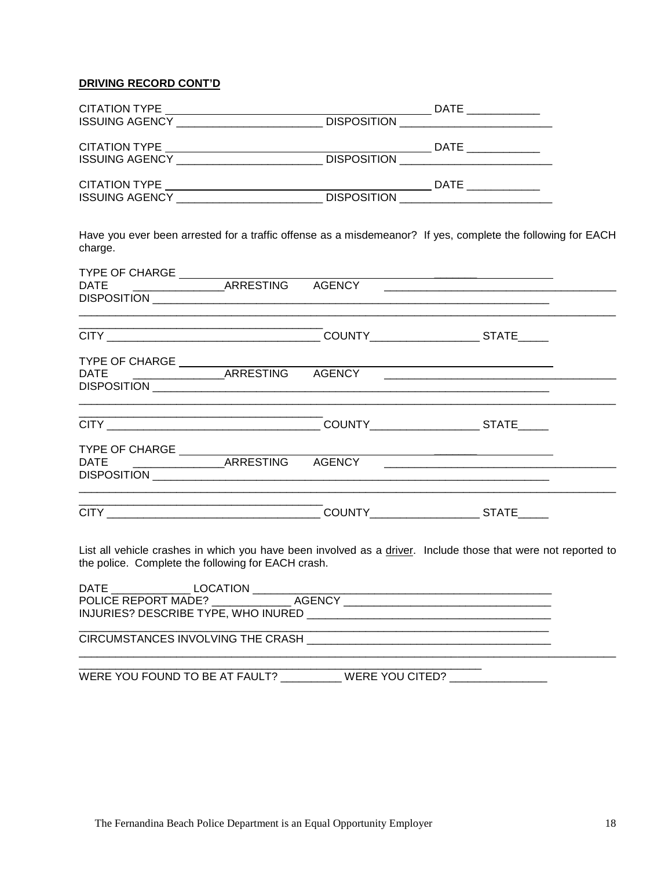# **DRIVING RECORD CONT'D**

| charge.                                            |                                             | Have you ever been arrested for a traffic offense as a misdemeanor? If yes, complete the following for EACH    |  |
|----------------------------------------------------|---------------------------------------------|----------------------------------------------------------------------------------------------------------------|--|
| TYPE OF CHARGE _______                             |                                             |                                                                                                                |  |
|                                                    |                                             |                                                                                                                |  |
|                                                    |                                             |                                                                                                                |  |
| TYPE OF CHARGE _______                             |                                             |                                                                                                                |  |
|                                                    | <u> 1989 - Johann Barn, mars eta bainar</u> |                                                                                                                |  |
|                                                    |                                             |                                                                                                                |  |
|                                                    |                                             |                                                                                                                |  |
|                                                    |                                             |                                                                                                                |  |
|                                                    |                                             |                                                                                                                |  |
| the police. Complete the following for EACH crash. |                                             | List all vehicle crashes in which you have been involved as a driver. Include those that were not reported to  |  |
|                                                    |                                             |                                                                                                                |  |
|                                                    |                                             |                                                                                                                |  |
|                                                    |                                             | CIRCUMSTANCES INVOLVING THE CRASH THE CRASH AND RELEASED AND RELEASED AND RELEASED AT A STREET AND RELEASED AT |  |
|                                                    |                                             |                                                                                                                |  |

\_\_\_\_\_\_\_\_\_\_\_\_\_\_\_\_\_\_\_\_\_\_\_\_\_\_\_\_\_\_\_\_\_\_\_\_\_\_\_\_\_\_\_\_\_\_\_\_\_\_\_\_\_\_\_\_\_\_\_\_\_\_\_\_\_\_ WERE YOU FOUND TO BE AT FAULT? \_\_\_\_\_\_\_\_\_\_\_ WERE YOU CITED? \_\_\_\_\_\_\_\_\_\_\_\_\_\_\_\_\_\_\_\_\_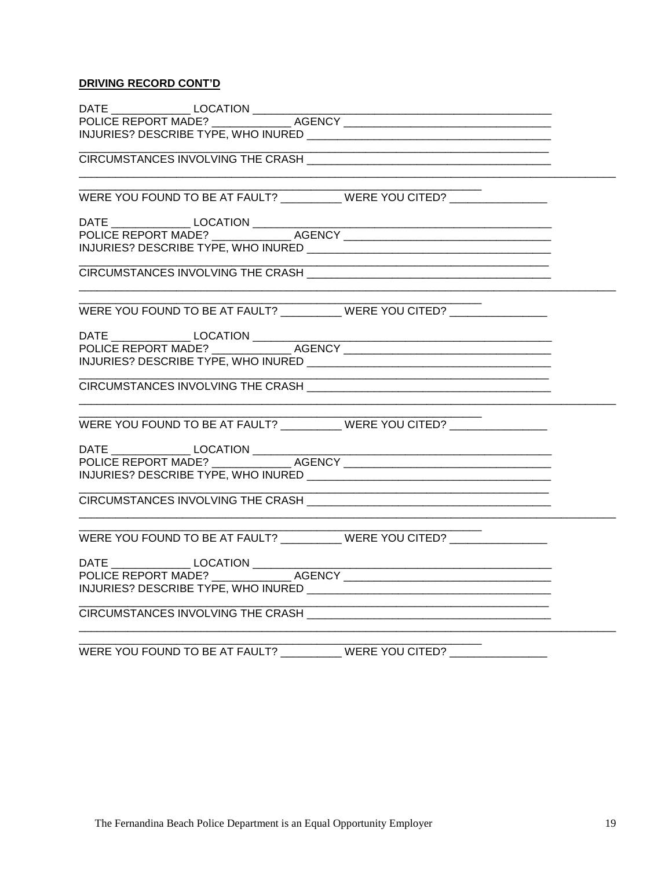# **DRIVING RECORD CONT'D**

|                                                                                  | <u> 1980 - Jan James James Barnett, fransk politik (d. 1980)</u> |
|----------------------------------------------------------------------------------|------------------------------------------------------------------|
|                                                                                  |                                                                  |
| WERE YOU FOUND TO BE AT FAULT? ___________ WERE YOU CITED? _______________       |                                                                  |
|                                                                                  |                                                                  |
|                                                                                  |                                                                  |
|                                                                                  |                                                                  |
| INJURIES? DESCRIBE TYPE, WHO INURED                                              |                                                                  |
|                                                                                  |                                                                  |
|                                                                                  |                                                                  |
| WERE YOU FOUND TO BE AT FAULT? __________ WERE YOU CITED? _______________        |                                                                  |
|                                                                                  |                                                                  |
|                                                                                  |                                                                  |
|                                                                                  |                                                                  |
|                                                                                  |                                                                  |
|                                                                                  |                                                                  |
|                                                                                  |                                                                  |
| WERE YOU FOUND TO BE AT FAULT? ___________WERE YOU CITED? ______________________ |                                                                  |
|                                                                                  |                                                                  |
|                                                                                  |                                                                  |
|                                                                                  |                                                                  |
|                                                                                  |                                                                  |
|                                                                                  |                                                                  |
|                                                                                  |                                                                  |
| WERE YOU FOUND TO BE AT FAULT? WERE YOU CITED?                                   |                                                                  |
|                                                                                  |                                                                  |
|                                                                                  |                                                                  |
|                                                                                  |                                                                  |
|                                                                                  |                                                                  |
|                                                                                  |                                                                  |
|                                                                                  |                                                                  |
|                                                                                  |                                                                  |
| WERE YOU FOUND TO BE AT FAULT? __________ WERE YOU CITED? _                      |                                                                  |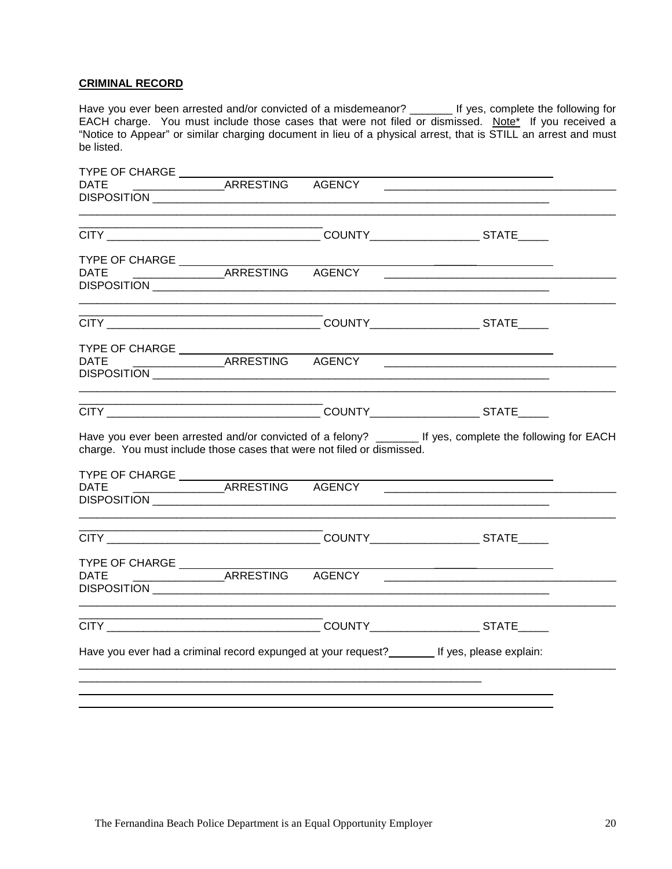#### **CRIMINAL RECORD**

Have you ever been arrested and/or convicted of a misdemeanor? \_\_\_\_\_\_\_ If yes, complete the following for EACH charge. You must include those cases that were not filed or dismissed. Note\* If you received a "Notice to Appear" or similar charging document in lieu of a physical arrest, that is STILL an arrest and must be listed.

| TYPE OF CHARGE ______                                                  |                  |                                                                                                                       |
|------------------------------------------------------------------------|------------------|-----------------------------------------------------------------------------------------------------------------------|
| DATE                                                                   | ARRESTING AGENCY |                                                                                                                       |
|                                                                        |                  |                                                                                                                       |
|                                                                        |                  |                                                                                                                       |
| TYPE OF CHARGE _______                                                 |                  |                                                                                                                       |
|                                                                        |                  |                                                                                                                       |
|                                                                        |                  |                                                                                                                       |
|                                                                        |                  |                                                                                                                       |
|                                                                        |                  |                                                                                                                       |
| charge. You must include those cases that were not filed or dismissed. |                  | Have you ever been arrested and/or convicted of a felony? _______ If yes, complete the following for EACH             |
|                                                                        |                  | <u> 1980 - Jan James James Barnett, amerikan bisa dalam personal dan bisa dan bisa dalam personal dan bisa dalam</u>  |
|                                                                        |                  |                                                                                                                       |
| TYPE OF CHARGE _______<br><b>DATE</b><br><b>DISPOSITION</b>            | ARRESTING AGENCY | <u> 2000 - Jan James James James James James James James James James James James James James James James James Ja</u> |
|                                                                        |                  |                                                                                                                       |
|                                                                        |                  | Have you ever had a criminal record expunged at your request?<br>If yes, please explain:                              |
|                                                                        |                  |                                                                                                                       |
|                                                                        |                  |                                                                                                                       |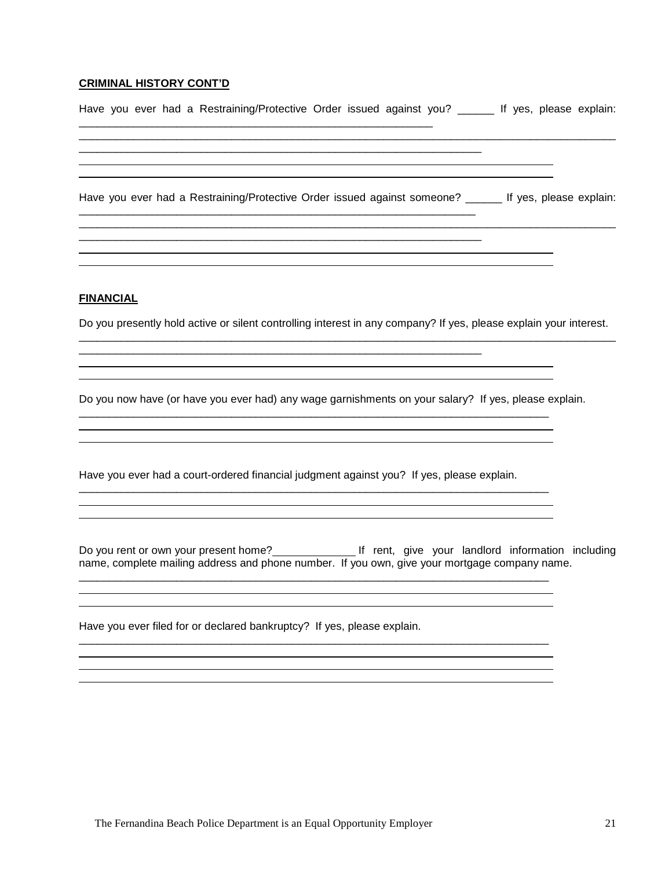#### **CRIMINAL HISTORY CONT'D**

Have you ever had a Restraining/Protective Order issued against you? \_\_\_\_\_\_ If yes, please explain: \_\_\_\_\_\_\_\_\_\_\_\_\_\_\_\_\_\_\_\_\_\_\_\_\_\_\_\_\_\_\_\_\_\_\_\_\_\_\_\_\_\_\_\_\_\_\_\_\_\_\_\_\_\_\_\_\_\_ \_\_\_\_\_\_\_\_\_\_\_\_\_\_\_\_\_\_\_\_\_\_\_\_\_\_\_\_\_\_\_\_\_\_\_\_\_\_\_\_\_\_\_\_\_\_\_\_\_\_\_\_\_\_\_\_\_\_\_\_\_\_\_\_\_\_\_\_\_\_\_\_\_\_\_\_\_\_\_\_\_\_\_\_\_\_\_\_ \_\_\_\_\_\_\_\_\_\_\_\_\_\_\_\_\_\_\_\_\_\_\_\_\_\_\_\_\_\_\_\_\_\_\_\_\_\_\_\_\_\_\_\_\_\_\_\_\_\_\_\_\_\_\_\_\_\_\_\_\_\_\_\_\_\_ Have you ever had a Restraining/Protective Order issued against someone? If yes, please explain: \_\_\_\_\_\_\_\_\_\_\_\_\_\_\_\_\_\_\_\_\_\_\_\_\_\_\_\_\_\_\_\_\_\_\_\_\_\_\_\_\_\_\_\_\_\_\_\_\_\_\_\_\_\_\_\_\_\_\_\_\_\_\_\_\_ \_\_\_\_\_\_\_\_\_\_\_\_\_\_\_\_\_\_\_\_\_\_\_\_\_\_\_\_\_\_\_\_\_\_\_\_\_\_\_\_\_\_\_\_\_\_\_\_\_\_\_\_\_\_\_\_\_\_\_\_\_\_\_\_\_\_\_\_\_\_\_\_\_\_\_\_\_\_\_\_\_\_\_\_\_\_\_\_ \_\_\_\_\_\_\_\_\_\_\_\_\_\_\_\_\_\_\_\_\_\_\_\_\_\_\_\_\_\_\_\_\_\_\_\_\_\_\_\_\_\_\_\_\_\_\_\_\_\_\_\_\_\_\_\_\_\_\_\_\_\_\_\_\_\_

#### **FINANCIAL**

Do you presently hold active or silent controlling interest in any company? If yes, please explain your interest. \_\_\_\_\_\_\_\_\_\_\_\_\_\_\_\_\_\_\_\_\_\_\_\_\_\_\_\_\_\_\_\_\_\_\_\_\_\_\_\_\_\_\_\_\_\_\_\_\_\_\_\_\_\_\_\_\_\_\_\_\_\_\_\_\_\_\_\_\_\_\_\_\_\_\_\_\_\_\_\_\_\_\_\_\_\_\_\_

Do you now have (or have you ever had) any wage garnishments on your salary? If yes, please explain.

Have you ever had a court-ordered financial judgment against you? If yes, please explain.

\_\_\_\_\_\_\_\_\_\_\_\_\_\_\_\_\_\_\_\_\_\_\_\_\_\_\_\_\_\_\_\_\_\_\_\_\_\_\_\_\_\_\_\_\_\_\_\_\_\_\_\_\_\_\_\_\_\_\_\_\_\_\_\_\_\_\_\_\_\_\_\_\_\_\_\_\_

\_\_\_\_\_\_\_\_\_\_\_\_\_\_\_\_\_\_\_\_\_\_\_\_\_\_\_\_\_\_\_\_\_\_\_\_\_\_\_\_\_\_\_\_\_\_\_\_\_\_\_\_\_\_\_\_\_\_\_\_\_\_\_\_\_\_\_\_\_\_\_\_\_\_\_\_\_

\_\_\_\_\_\_\_\_\_\_\_\_\_\_\_\_\_\_\_\_\_\_\_\_\_\_\_\_\_\_\_\_\_\_\_\_\_\_\_\_\_\_\_\_\_\_\_\_\_\_\_\_\_\_\_\_\_\_\_\_\_\_\_\_\_\_

Do you rent or own your present home? If rent, give your landlord information including name, complete mailing address and phone number. If you own, give your mortgage company name.

\_\_\_\_\_\_\_\_\_\_\_\_\_\_\_\_\_\_\_\_\_\_\_\_\_\_\_\_\_\_\_\_\_\_\_\_\_\_\_\_\_\_\_\_\_\_\_\_\_\_\_\_\_\_\_\_\_\_\_\_\_\_\_\_\_\_\_\_\_\_\_\_\_\_\_\_\_

Have you ever filed for or declared bankruptcy? If yes, please explain.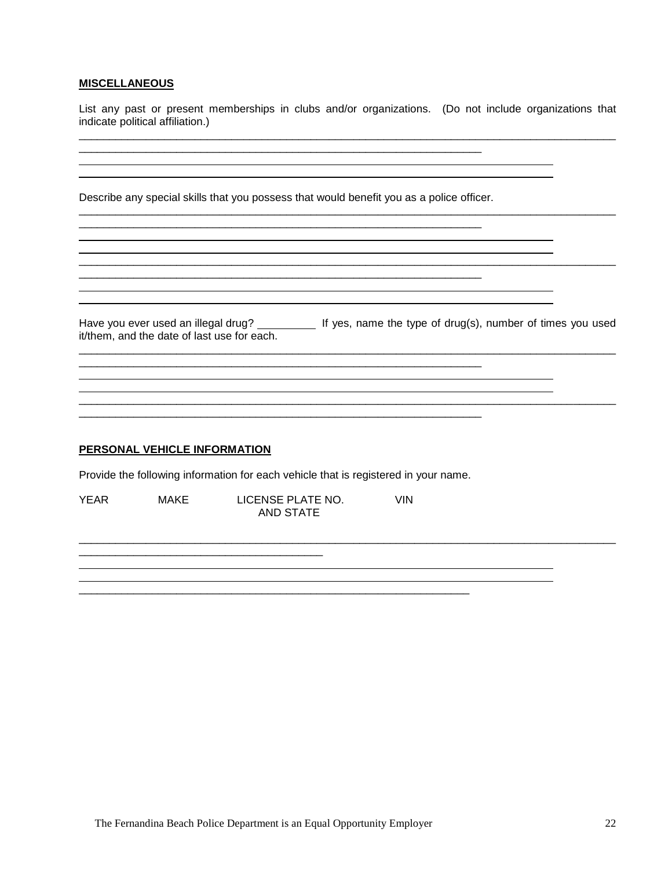#### **MISCELLANEOUS**

List any past or present memberships in clubs and/or organizations. (Do not include organizations that indicate political affiliation.) \_\_\_\_\_\_\_\_\_\_\_\_\_\_\_\_\_\_\_\_\_\_\_\_\_\_\_\_\_\_\_\_\_\_\_\_\_\_\_\_\_\_\_\_\_\_\_\_\_\_\_\_\_\_\_\_\_\_\_\_\_\_\_\_\_\_\_\_\_\_\_\_\_\_\_\_\_\_\_\_\_\_\_\_\_\_\_\_

\_\_\_\_\_\_\_\_\_\_\_\_\_\_\_\_\_\_\_\_\_\_\_\_\_\_\_\_\_\_\_\_\_\_\_\_\_\_\_\_\_\_\_\_\_\_\_\_\_\_\_\_\_\_\_\_\_\_\_\_\_\_\_\_\_\_\_\_\_\_\_\_\_\_\_\_\_\_\_\_\_\_\_\_\_\_\_\_

\_\_\_\_\_\_\_\_\_\_\_\_\_\_\_\_\_\_\_\_\_\_\_\_\_\_\_\_\_\_\_\_\_\_\_\_\_\_\_\_\_\_\_\_\_\_\_\_\_\_\_\_\_\_\_\_\_\_\_\_\_\_\_\_\_\_\_\_\_\_\_\_\_\_\_\_\_\_\_\_\_\_\_\_\_\_\_\_

Describe any special skills that you possess that would benefit you as a police officer.

\_\_\_\_\_\_\_\_\_\_\_\_\_\_\_\_\_\_\_\_\_\_\_\_\_\_\_\_\_\_\_\_\_\_\_\_\_\_\_\_\_\_\_\_\_\_\_\_\_\_\_\_\_\_\_\_\_\_\_\_\_\_\_\_\_\_

\_\_\_\_\_\_\_\_\_\_\_\_\_\_\_\_\_\_\_\_\_\_\_\_\_\_\_\_\_\_\_\_\_\_\_\_\_\_\_\_\_\_\_\_\_\_\_\_\_\_\_\_\_\_\_\_\_\_\_\_\_\_\_\_\_\_

\_\_\_\_\_\_\_\_\_\_\_\_\_\_\_\_\_\_\_\_\_\_\_\_\_\_\_\_\_\_\_\_\_\_\_\_\_\_\_\_\_\_\_\_\_\_\_\_\_\_\_\_\_\_\_\_\_\_\_\_\_\_\_\_\_\_

\_\_\_\_\_\_\_\_\_\_\_\_\_\_\_\_\_\_\_\_\_\_\_\_\_\_\_\_\_\_\_\_\_\_\_\_\_\_\_\_\_\_\_\_\_\_\_\_\_\_\_\_\_\_\_\_\_\_\_\_\_\_\_\_\_\_

Have you ever used an illegal drug? \_\_\_\_\_\_\_\_\_\_\_ If yes, name the type of drug(s), number of times you used it/them, and the date of last use for each. \_\_\_\_\_\_\_\_\_\_\_\_\_\_\_\_\_\_\_\_\_\_\_\_\_\_\_\_\_\_\_\_\_\_\_\_\_\_\_\_\_\_\_\_\_\_\_\_\_\_\_\_\_\_\_\_\_\_\_\_\_\_\_\_\_\_\_\_\_\_\_\_\_\_\_\_\_\_\_\_\_\_\_\_\_\_\_\_

\_\_\_\_\_\_\_\_\_\_\_\_\_\_\_\_\_\_\_\_\_\_\_\_\_\_\_\_\_\_\_\_\_\_\_\_\_\_\_\_\_\_\_\_\_\_\_\_\_\_\_\_\_\_\_\_\_\_\_\_\_\_\_\_\_\_\_\_\_\_\_\_\_\_\_\_\_\_\_\_\_\_\_\_\_\_\_\_

\_\_\_\_\_\_\_\_\_\_\_\_\_\_\_\_\_\_\_\_\_\_\_\_\_\_\_\_\_\_\_\_\_\_\_\_\_\_\_\_\_\_\_\_\_\_\_\_\_\_\_\_\_\_\_\_\_\_\_\_\_\_\_\_\_\_\_\_\_\_\_\_\_\_\_\_\_\_\_\_\_\_\_\_\_\_\_\_

<u> 1989 - Johann Stoff, deutscher Stoffen und der Stoffen und der Stoffen und der Stoffen und der Stoffen und der</u>

#### **PERSONAL VEHICLE INFORMATION**

\_\_\_\_\_\_\_\_\_\_\_\_\_\_\_\_\_\_\_\_\_\_\_\_\_\_\_\_\_\_\_\_\_\_\_\_\_\_\_\_

Provide the following information for each vehicle that is registered in your name.

| YEAR | MAKE | LICENSE PLATE NO. | VIN |
|------|------|-------------------|-----|
|      |      | AND STATE         |     |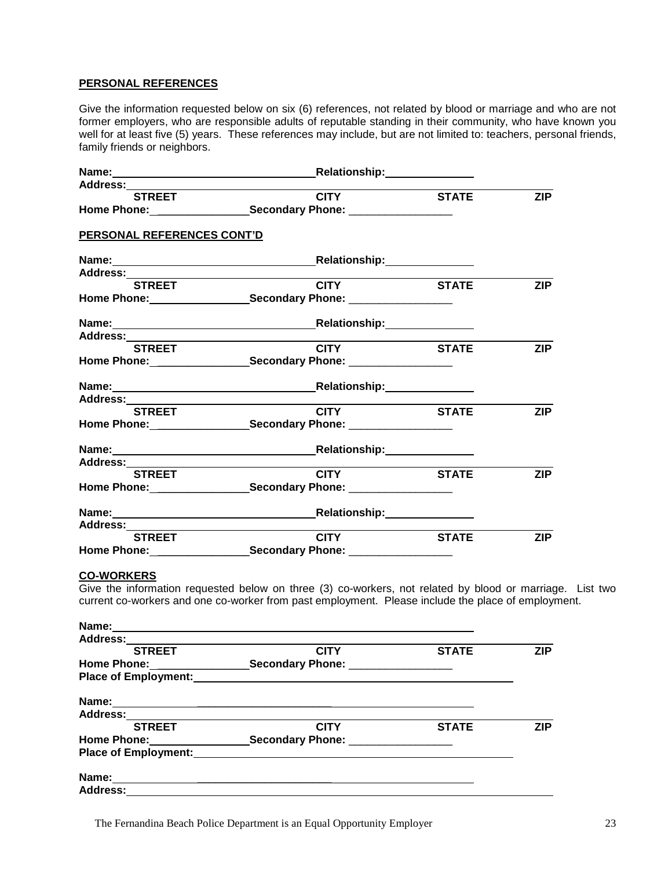#### **PERSONAL REFERENCES**

Give the information requested below on six (6) references, not related by blood or marriage and who are not former employers, who are responsible adults of reputable standing in their community, who have known you well for at least five (5) years. These references may include, but are not limited to: teachers, personal friends, family friends or neighbors.

|                                                    | Relationship: Relationship:                                                                                                                                                                                                    |              |            |
|----------------------------------------------------|--------------------------------------------------------------------------------------------------------------------------------------------------------------------------------------------------------------------------------|--------------|------------|
| Address:_______                                    |                                                                                                                                                                                                                                |              |            |
| <b>STREET</b>                                      | <b>CITY</b>                                                                                                                                                                                                                    | <b>STATE</b> | <b>ZIP</b> |
|                                                    |                                                                                                                                                                                                                                |              |            |
| PERSONAL REFERENCES CONT'D                         |                                                                                                                                                                                                                                |              |            |
|                                                    |                                                                                                                                                                                                                                |              |            |
|                                                    |                                                                                                                                                                                                                                |              |            |
|                                                    |                                                                                                                                                                                                                                | <b>STATE</b> | <b>ZIP</b> |
|                                                    |                                                                                                                                                                                                                                |              |            |
|                                                    |                                                                                                                                                                                                                                |              |            |
| Address:_______                                    |                                                                                                                                                                                                                                |              |            |
| <b>STREET</b>                                      | <b>CITY</b>                                                                                                                                                                                                                    | <b>STATE</b> | <b>ZIP</b> |
|                                                    | Home Phone: __________________________Secondary Phone: _________________________                                                                                                                                               |              |            |
|                                                    |                                                                                                                                                                                                                                |              |            |
| Address:_____                                      |                                                                                                                                                                                                                                |              |            |
| <b>STREET</b>                                      | <b>CITY</b>                                                                                                                                                                                                                    | <b>STATE</b> | <b>ZIP</b> |
|                                                    |                                                                                                                                                                                                                                |              |            |
|                                                    |                                                                                                                                                                                                                                |              |            |
| Address:                                           | the control of the control of the control of the control of the control of the control of                                                                                                                                      |              |            |
| <b>STREET</b>                                      | <b>CITY</b>                                                                                                                                                                                                                    | <b>STATE</b> | <b>ZIP</b> |
|                                                    | Home Phone: Secondary Phone: _________________                                                                                                                                                                                 |              |            |
|                                                    |                                                                                                                                                                                                                                |              |            |
| <b>Address:</b>                                    |                                                                                                                                                                                                                                |              |            |
| <b>STREET</b>                                      | <b>CITY</b>                                                                                                                                                                                                                    | <b>STATE</b> | <b>ZIP</b> |
|                                                    |                                                                                                                                                                                                                                |              |            |
| <b>CO-WORKERS</b>                                  | Give the information requested below on three (3) co-workers, not related by blood or marriage. List two<br>current co-workers and one co-worker from past employment. Please include the place of employment.                 |              |            |
|                                                    | Name: <u>______________________________</u> _____                                                                                                                                                                              |              |            |
| Address:______                                     |                                                                                                                                                                                                                                |              |            |
| <b>STREET</b>                                      | <b>CITY</b>                                                                                                                                                                                                                    | <b>STATE</b> | <b>ZIP</b> |
|                                                    |                                                                                                                                                                                                                                |              |            |
| Place of Employment: National Place of Employment: |                                                                                                                                                                                                                                |              |            |
|                                                    |                                                                                                                                                                                                                                |              |            |
| Address:______                                     |                                                                                                                                                                                                                                |              |            |
| <b>STREET</b>                                      | <b>CITY</b>                                                                                                                                                                                                                    | <b>STATE</b> | <b>ZIP</b> |
|                                                    |                                                                                                                                                                                                                                |              |            |
| <b>Place of Employment:</b>                        |                                                                                                                                                                                                                                |              |            |
|                                                    |                                                                                                                                                                                                                                |              |            |
|                                                    | Address: Analysis and the contract of the contract of the contract of the contract of the contract of the contract of the contract of the contract of the contract of the contract of the contract of the contract of the cont |              |            |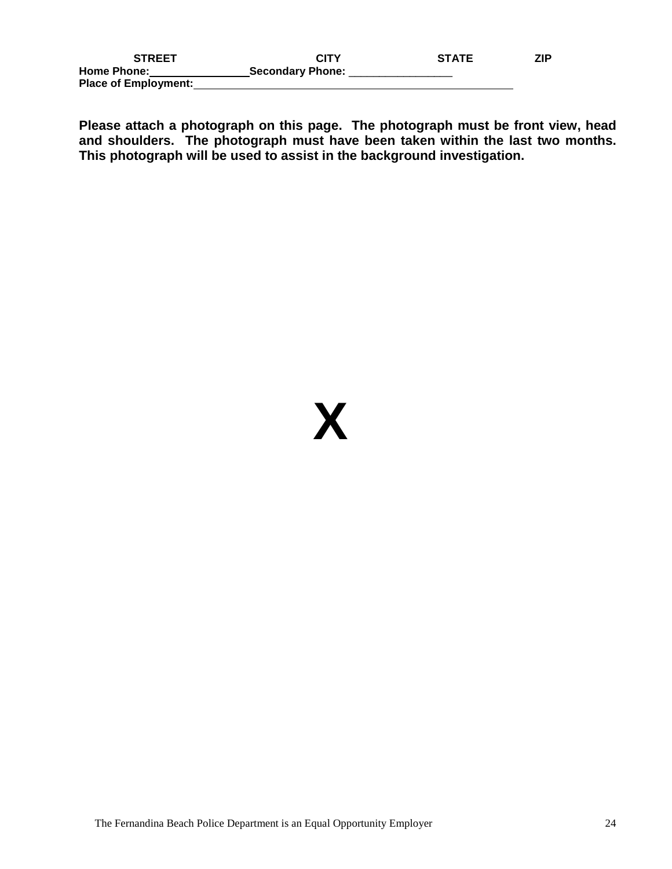| <b>STREET</b>               | <b>CITY</b>       | <b>STATE</b> | ZIP |
|-----------------------------|-------------------|--------------|-----|
| <b>Home Phone:</b>          | _Secondary Phone: |              |     |
| <b>Place of Employment:</b> |                   |              |     |

**Please attach a photograph on this page. The photograph must be front view, head and shoulders. The photograph must have been taken within the last two months. This photograph will be used to assist in the background investigation.**

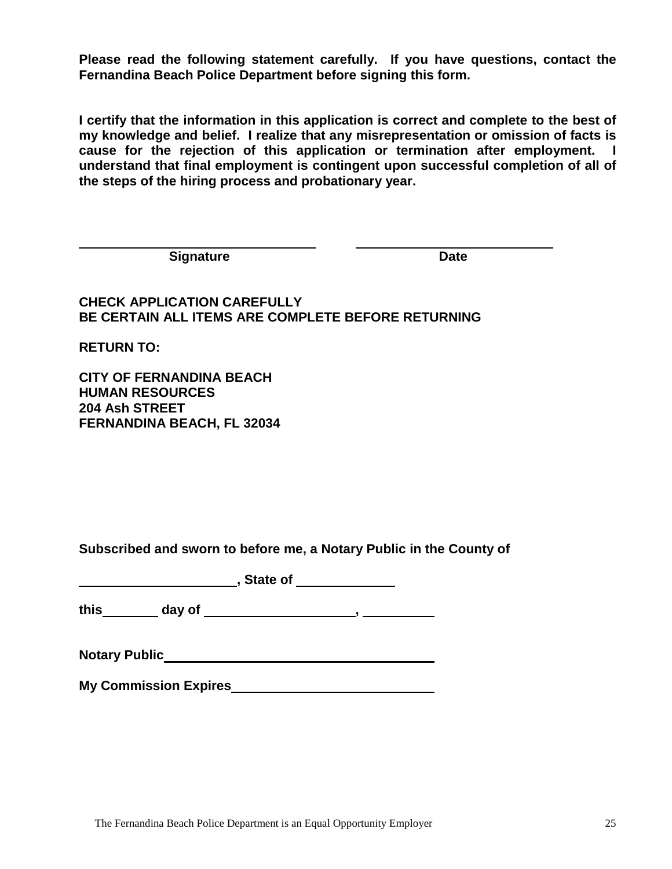**Please read the following statement carefully. If you have questions, contact the Fernandina Beach Police Department before signing this form.**

**I certify that the information in this application is correct and complete to the best of my knowledge and belief. I realize that any misrepresentation or omission of facts is cause for the rejection of this application or termination after employment. I understand that final employment is contingent upon successful completion of all of the steps of the hiring process and probationary year.**

**Signature Date** 

# **CHECK APPLICATION CAREFULLY BE CERTAIN ALL ITEMS ARE COMPLETE BEFORE RETURNING**

**RETURN TO:**

**CITY OF FERNANDINA BEACH HUMAN RESOURCES 204 Ash STREET FERNANDINA BEACH, FL 32034**

**Subscribed and sworn to before me, a Notary Public in the County of**

| , State of |  |
|------------|--|
|            |  |

**this day of ,** 

| <b>Notary Public</b> |
|----------------------|

**My Commission Expires**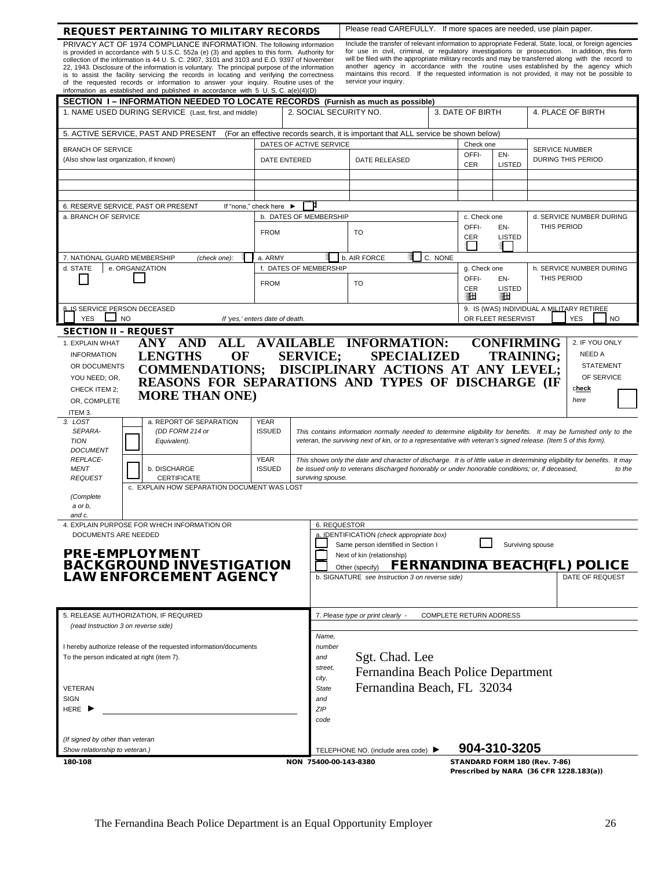| <b>REQUEST PERTAINING TO MILITARY RECORDS</b>                                                                                                                                                                                                                                                                                                                                                                                                                                                                                                                                                                                                                                                                                                                                                                                                                                                                                                                                                                                                                                                                                                                                                                                                        |                                                                                         | Please read CAREFULLY. If more spaces are needed, use plain paper.                 |                                |                      |                                           |
|------------------------------------------------------------------------------------------------------------------------------------------------------------------------------------------------------------------------------------------------------------------------------------------------------------------------------------------------------------------------------------------------------------------------------------------------------------------------------------------------------------------------------------------------------------------------------------------------------------------------------------------------------------------------------------------------------------------------------------------------------------------------------------------------------------------------------------------------------------------------------------------------------------------------------------------------------------------------------------------------------------------------------------------------------------------------------------------------------------------------------------------------------------------------------------------------------------------------------------------------------|-----------------------------------------------------------------------------------------|------------------------------------------------------------------------------------|--------------------------------|----------------------|-------------------------------------------|
| PRIVACY ACT OF 1974 COMPLIANCE INFORMATION. The following information<br>Include the transfer of relevant information to appropriate Federal, State, local, or foreign agencies<br>for use in civil, criminal, or regulatory investigations or prosecution. In addition, this form<br>is provided in accordance with 5 U.S.C. 552a (e) (3) and applies to this form. Authority for<br>will be filed with the appropriate military records and may be transferred along with the record to<br>collection of the information is 44 U. S. C. 2907, 3101 and 3103 and E.O. 9397 of November<br>another agency in accordance with the routine uses established by the agency which<br>22, 1943. Disclosure of the information is voluntary. The principal purpose of the information<br>maintains this record. If the requested information is not provided, it may not be possible to<br>is to assist the facility servicing the records in locating and verifying the correctness<br>service your inquiry.<br>of the requested records or information to answer your inquiry. Routine uses of the<br>information as established and published in accordance with $5 \text{ U}$ . S. C. a(e)(4)(D)                                                       |                                                                                         |                                                                                    |                                |                      |                                           |
| SECTION I-INFORMATION NEEDED TO LOCATE RECORDS (Furnish as much as possible)<br>1. NAME USED DURING SERVICE (Last, first, and middle)                                                                                                                                                                                                                                                                                                                                                                                                                                                                                                                                                                                                                                                                                                                                                                                                                                                                                                                                                                                                                                                                                                                |                                                                                         | 2. SOCIAL SECURITY NO.                                                             | 3. DATE OF BIRTH               |                      | 4. PLACE OF BIRTH                         |
| 5. ACTIVE SERVICE, PAST AND PRESENT                                                                                                                                                                                                                                                                                                                                                                                                                                                                                                                                                                                                                                                                                                                                                                                                                                                                                                                                                                                                                                                                                                                                                                                                                  |                                                                                         | (For an effective records search, it is important that ALL service be shown below) |                                |                      |                                           |
| <b>BRANCH OF SERVICE</b>                                                                                                                                                                                                                                                                                                                                                                                                                                                                                                                                                                                                                                                                                                                                                                                                                                                                                                                                                                                                                                                                                                                                                                                                                             | DATES OF ACTIVE SERVICE                                                                 |                                                                                    | Check one                      |                      | <b>SERVICE NUMBER</b>                     |
| (Also show last organization, if known)                                                                                                                                                                                                                                                                                                                                                                                                                                                                                                                                                                                                                                                                                                                                                                                                                                                                                                                                                                                                                                                                                                                                                                                                              | DATE ENTERED                                                                            | DATE RELEASED                                                                      | OFFI-<br><b>CER</b>            | EN-<br><b>LISTED</b> | DURING THIS PERIOD                        |
|                                                                                                                                                                                                                                                                                                                                                                                                                                                                                                                                                                                                                                                                                                                                                                                                                                                                                                                                                                                                                                                                                                                                                                                                                                                      |                                                                                         |                                                                                    |                                |                      |                                           |
| 6. RESERVE SERVICE, PAST OR PRESENT                                                                                                                                                                                                                                                                                                                                                                                                                                                                                                                                                                                                                                                                                                                                                                                                                                                                                                                                                                                                                                                                                                                                                                                                                  | п<br>If "none," check here ▶                                                            |                                                                                    |                                |                      |                                           |
| a. BRANCH OF SERVICE                                                                                                                                                                                                                                                                                                                                                                                                                                                                                                                                                                                                                                                                                                                                                                                                                                                                                                                                                                                                                                                                                                                                                                                                                                 | b. DATES OF MEMBERSHIP                                                                  |                                                                                    | c. Check one                   |                      | d. SERVICE NUMBER DURING                  |
|                                                                                                                                                                                                                                                                                                                                                                                                                                                                                                                                                                                                                                                                                                                                                                                                                                                                                                                                                                                                                                                                                                                                                                                                                                                      | <b>FROM</b>                                                                             | TO                                                                                 | OFFI-<br><b>CER</b>            | EN-<br>LISTED<br>÷,  | THIS PERIOD                               |
| 7. NATIONAL GUARD MEMBERSHIP<br>(check one):                                                                                                                                                                                                                                                                                                                                                                                                                                                                                                                                                                                                                                                                                                                                                                                                                                                                                                                                                                                                                                                                                                                                                                                                         | a. ARMY                                                                                 | b. AIR FORCE                                                                       | $\Box$ C. NONE                 |                      |                                           |
| d. STATE<br>e. ORGANIZATION                                                                                                                                                                                                                                                                                                                                                                                                                                                                                                                                                                                                                                                                                                                                                                                                                                                                                                                                                                                                                                                                                                                                                                                                                          | f. DATES OF MEMBERSHIP                                                                  |                                                                                    | g. Check one<br>OFFI-          | EN-                  | h. SERVICE NUMBER DURING<br>THIS PERIOD   |
|                                                                                                                                                                                                                                                                                                                                                                                                                                                                                                                                                                                                                                                                                                                                                                                                                                                                                                                                                                                                                                                                                                                                                                                                                                                      | <b>FROM</b>                                                                             | <b>TO</b>                                                                          | CER<br>$\mathbf{H}$            | <b>LISTED</b><br>毌   |                                           |
| <b>8. IS SERVICE PERSON DECEASED</b>                                                                                                                                                                                                                                                                                                                                                                                                                                                                                                                                                                                                                                                                                                                                                                                                                                                                                                                                                                                                                                                                                                                                                                                                                 |                                                                                         |                                                                                    |                                |                      | 9. IS (WAS) INDIVIDUAL A MILITARY RETIREE |
| <b>YES</b><br><b>NO</b><br><b>SECTION II - REQUEST</b>                                                                                                                                                                                                                                                                                                                                                                                                                                                                                                                                                                                                                                                                                                                                                                                                                                                                                                                                                                                                                                                                                                                                                                                               | If 'yes,' enters date of death.                                                         |                                                                                    |                                | OR FLEET RESERVIST   | <b>YES</b><br><b>NO</b>                   |
| <b>LENGTHS</b><br>OF<br><b>SPECIALIZED</b><br><b>NEED A</b><br><b>INFORMATION</b><br><b>SERVICE;</b><br><b>TRAINING;</b><br><b>STATEMENT</b><br>OR DOCUMENTS<br>COMMENDATIONS; DISCIPLINARY ACTIONS AT ANY LEVEL;<br>OF SERVICE<br>YOU NEED; OR,<br>REASONS FOR SEPARATIONS AND TYPES OF DISCHARGE (IF<br>check<br>CHECK ITEM 2;<br><b>MORE THAN ONE)</b><br>OR, COMPLETE<br>here<br>ITEM 3.<br><b>YEAR</b><br>3. LOST<br>a. REPORT OF SEPARATION<br><b>ISSUED</b><br>SEPARA-<br>(DD FORM 214 or<br>This contains information normally needed to determine eligibility for benefits. It may be furnished only to the<br>veteran, the surviving next of kin, or to a representative with veteran's signed release. (Item 5 of this form).<br><b>TION</b><br>Equivalent).<br><b>DOCUMENT</b><br>REPLACE-<br><b>YEAR</b><br>This shows only the date and character of discharge. It is of little value in determining eligibility for benefits. It may<br><b>ISSUED</b><br><b>MENT</b><br>b. DISCHARGE<br>be issued only to veterans discharged honorably or under honorable conditions; or, if deceased,<br>surviving spouse.<br><b>REQUEST</b><br><b>CERTIFICATE</b><br>c. EXPLAIN HOW SEPARATION DOCUMENT WAS LOST<br>(Complete<br>a or b,<br>and c. |                                                                                         |                                                                                    |                                | to the               |                                           |
| 4. EXPLAIN PURPOSE FOR WHICH INFORMATION OR<br>6. REQUESTOR<br>a. IDENTIFICATION (check appropriate box)<br>DOCUMENTS ARE NEEDED<br>Same person identified in Section I<br>Surviving spouse<br><b>PRE-EMPLOYMENT</b><br>Next of kin (relationship)<br><b>BACKGROUND INVESTIGATION</b><br><b>FERNANDINA BEACH(FL) POLICE</b><br>Other (specify)<br><b>LAW ENFORCEMENT AGENCY</b><br>b. SIGNATURE see Instruction 3 on reverse side)<br>DATE OF REQUEST                                                                                                                                                                                                                                                                                                                                                                                                                                                                                                                                                                                                                                                                                                                                                                                                |                                                                                         |                                                                                    |                                |                      |                                           |
| 5. RELEASE AUTHORIZATION, IF REQUIRED<br>(read Instruction 3 on reverse side)                                                                                                                                                                                                                                                                                                                                                                                                                                                                                                                                                                                                                                                                                                                                                                                                                                                                                                                                                                                                                                                                                                                                                                        |                                                                                         | 7. Please type or print clearly -                                                  | <b>COMPLETE RETURN ADDRESS</b> |                      |                                           |
| I hereby authorize release of the requested information/documents<br>To the person indicated at right (item 7).<br>VETERAN<br><b>SIGN</b><br>HERE <b>D</b>                                                                                                                                                                                                                                                                                                                                                                                                                                                                                                                                                                                                                                                                                                                                                                                                                                                                                                                                                                                                                                                                                           | Name,<br>number<br>and<br>street,<br>city,<br><b>State</b><br>and<br><b>ZIP</b><br>code | Sgt. Chad. Lee<br>Fernandina Beach Police Department<br>Fernandina Beach, FL 32034 |                                |                      |                                           |
| (If signed by other than veteran                                                                                                                                                                                                                                                                                                                                                                                                                                                                                                                                                                                                                                                                                                                                                                                                                                                                                                                                                                                                                                                                                                                                                                                                                     |                                                                                         | 904-310-3205                                                                       |                                |                      |                                           |
| Show relationship to veteran.<br>180-108                                                                                                                                                                                                                                                                                                                                                                                                                                                                                                                                                                                                                                                                                                                                                                                                                                                                                                                                                                                                                                                                                                                                                                                                             | NON 75400-00-143-8380                                                                   | TELEPHONE NO. (include area code) ▶                                                |                                |                      | STANDARD FORM 180 (Rev. 7-86)             |
|                                                                                                                                                                                                                                                                                                                                                                                                                                                                                                                                                                                                                                                                                                                                                                                                                                                                                                                                                                                                                                                                                                                                                                                                                                                      |                                                                                         |                                                                                    |                                |                      | Prescribed by NARA (36 CFR 1228.183(a))   |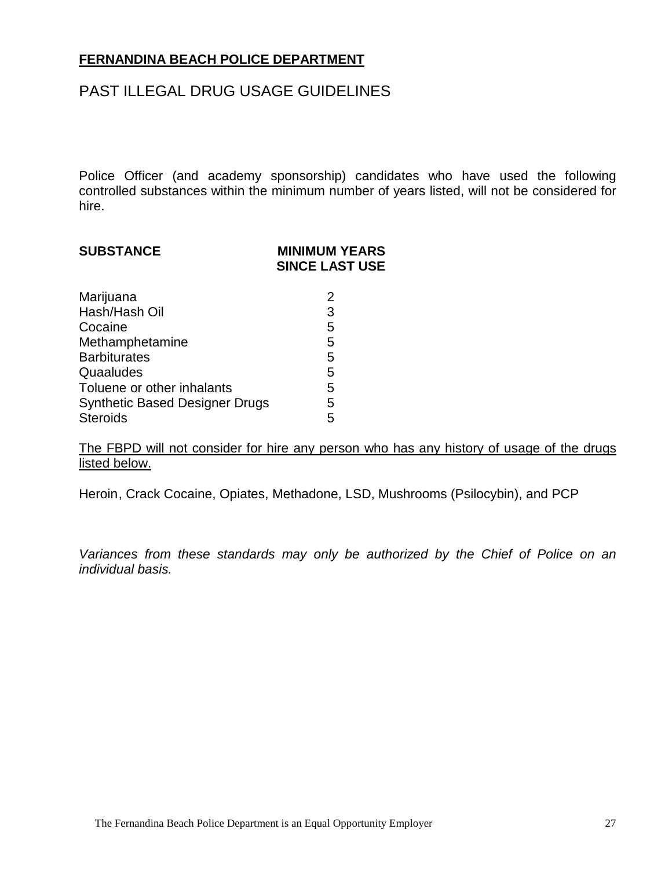# **FERNANDINA BEACH POLICE DEPARTMENT**

# PAST ILLEGAL DRUG USAGE GUIDELINES

Police Officer (and academy sponsorship) candidates who have used the following controlled substances within the minimum number of years listed, will not be considered for hire.

| <b>MINIMUM YEARS</b><br><b>SINCE LAST USE</b> |
|-----------------------------------------------|
| 2                                             |
| 3                                             |
| 5                                             |
| 5                                             |
| 5                                             |
| 5                                             |
|                                               |

Toluene or other inhalants 5 Synthetic Based Designer Drugs 5<br>Steroids 5

**Steroids** 

The FBPD will not consider for hire any person who has any history of usage of the drugs listed below.

Heroin, Crack Cocaine, Opiates, Methadone, LSD, Mushrooms (Psilocybin), and PCP

*Variances from these standards may only be authorized by the Chief of Police on an individual basis.*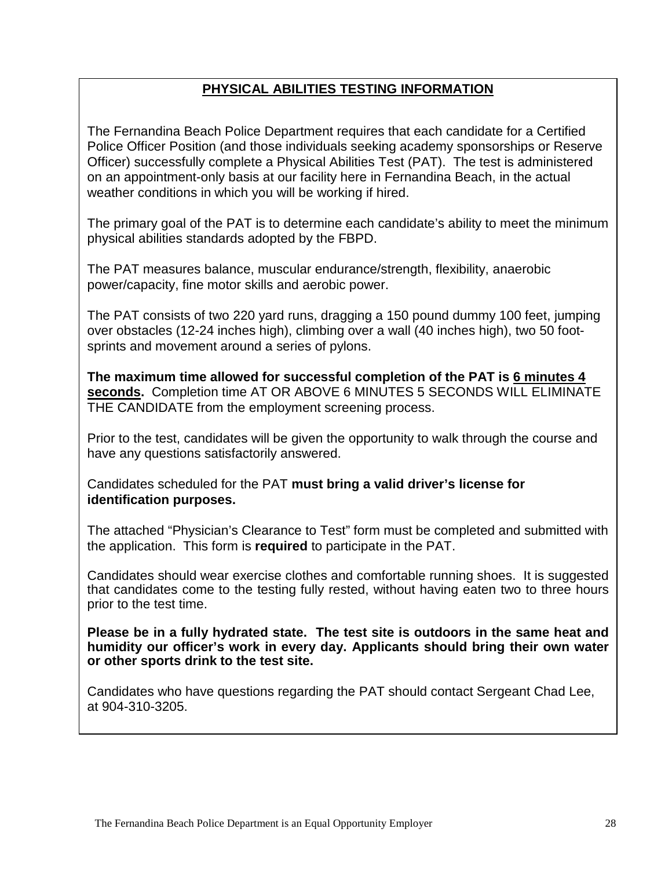# **PHYSICAL ABILITIES TESTING INFORMATION**

The Fernandina Beach Police Department requires that each candidate for a Certified Police Officer Position (and those individuals seeking academy sponsorships or Reserve Officer) successfully complete a Physical Abilities Test (PAT). The test is administered on an appointment-only basis at our facility here in Fernandina Beach, in the actual weather conditions in which you will be working if hired.

The primary goal of the PAT is to determine each candidate's ability to meet the minimum physical abilities standards adopted by the FBPD.

The PAT measures balance, muscular endurance/strength, flexibility, anaerobic power/capacity, fine motor skills and aerobic power.

The PAT consists of two 220 yard runs, dragging a 150 pound dummy 100 feet, jumping over obstacles (12-24 inches high), climbing over a wall (40 inches high), two 50 footsprints and movement around a series of pylons.

**The maximum time allowed for successful completion of the PAT is 6 minutes 4 seconds.** Completion time AT OR ABOVE 6 MINUTES 5 SECONDS WILL ELIMINATE THE CANDIDATE from the employment screening process.

Prior to the test, candidates will be given the opportunity to walk through the course and have any questions satisfactorily answered.

Candidates scheduled for the PAT **must bring a valid driver's license for identification purposes.**

The attached "Physician's Clearance to Test" form must be completed and submitted with the application. This form is **required** to participate in the PAT.

Candidates should wear exercise clothes and comfortable running shoes. It is suggested that candidates come to the testing fully rested, without having eaten two to three hours prior to the test time.

**Please be in a fully hydrated state. The test site is outdoors in the same heat and humidity our officer's work in every day. Applicants should bring their own water or other sports drink to the test site.** 

Candidates who have questions regarding the PAT should contact Sergeant Chad Lee, at 904-310-3205.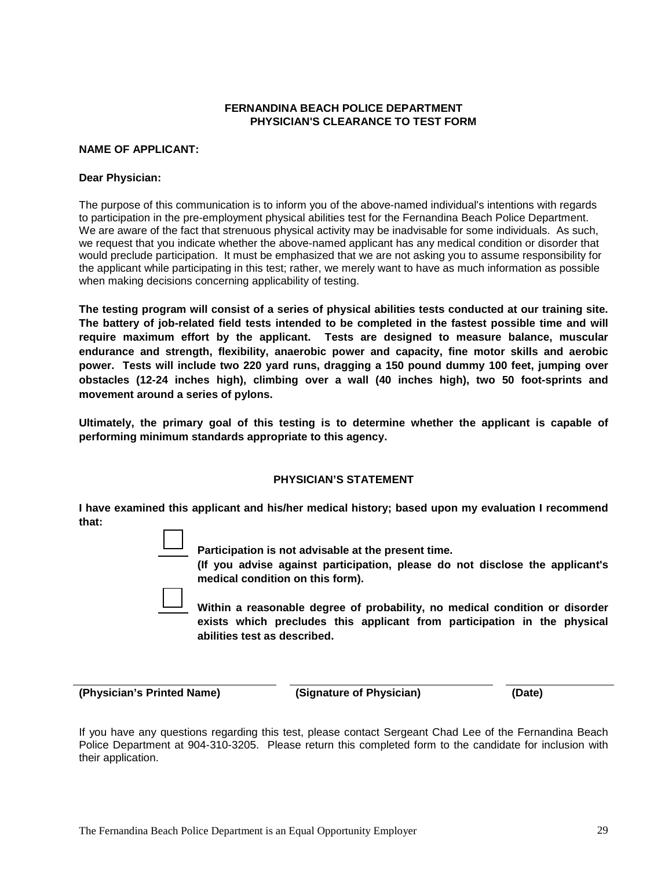#### **FERNANDINA BEACH POLICE DEPARTMENT PHYSICIAN'S CLEARANCE TO TEST FORM**

#### **NAME OF APPLICANT:**

#### **Dear Physician:**

The purpose of this communication is to inform you of the above-named individual's intentions with regards to participation in the pre-employment physical abilities test for the Fernandina Beach Police Department. We are aware of the fact that strenuous physical activity may be inadvisable for some individuals. As such, we request that you indicate whether the above-named applicant has any medical condition or disorder that would preclude participation. It must be emphasized that we are not asking you to assume responsibility for the applicant while participating in this test; rather, we merely want to have as much information as possible when making decisions concerning applicability of testing.

**The testing program will consist of a series of physical abilities tests conducted at our training site. The battery of job-related field tests intended to be completed in the fastest possible time and will require maximum effort by the applicant. Tests are designed to measure balance, muscular endurance and strength, flexibility, anaerobic power and capacity, fine motor skills and aerobic power. Tests will include two 220 yard runs, dragging a 150 pound dummy 100 feet, jumping over obstacles (12-24 inches high), climbing over a wall (40 inches high), two 50 foot-sprints and movement around a series of pylons.**

**Ultimately, the primary goal of this testing is to determine whether the applicant is capable of performing minimum standards appropriate to this agency.**

#### **PHYSICIAN'S STATEMENT**

**I have examined this applicant and his/her medical history; based upon my evaluation I recommend that:**

 **Participation is not advisable at the present time.**

**(If you advise against participation, please do not disclose the applicant's medical condition on this form).**

 **Within a reasonable degree of probability, no medical condition or disorder exists which precludes this applicant from participation in the physical abilities test as described.**

**(Physician's Printed Name) (Signature of Physician) (Date)**

If you have any questions regarding this test, please contact Sergeant Chad Lee of the Fernandina Beach Police Department at 904-310-3205. Please return this completed form to the candidate for inclusion with their application.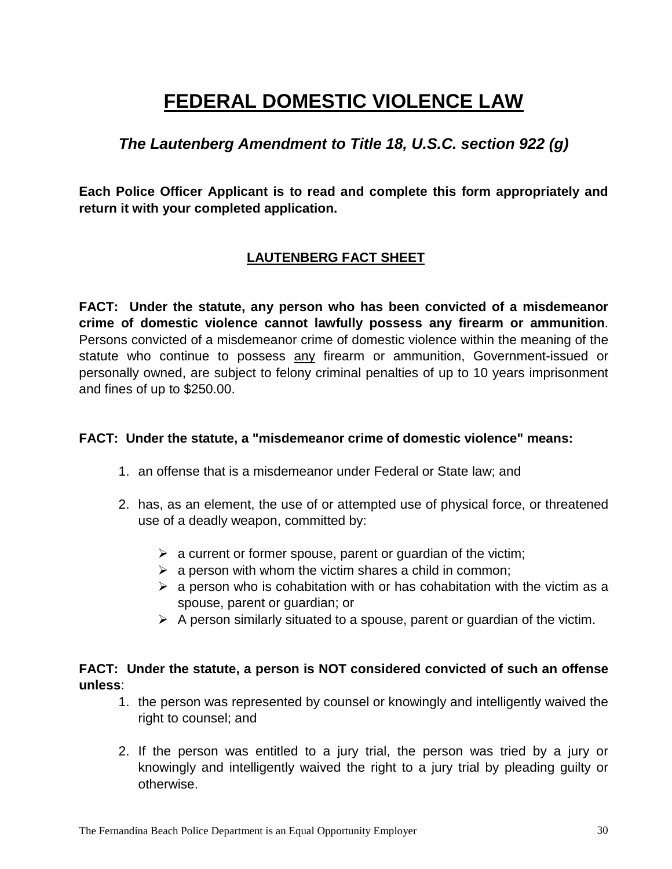# **FEDERAL DOMESTIC VIOLENCE LAW**

# *The Lautenberg Amendment to Title 18, U.S.C. section 922 (g)*

**Each Police Officer Applicant is to read and complete this form appropriately and return it with your completed application.**

# **LAUTENBERG FACT SHEET**

**FACT: Under the statute, any person who has been convicted of a misdemeanor crime of domestic violence cannot lawfully possess any firearm or ammunition**. Persons convicted of a misdemeanor crime of domestic violence within the meaning of the statute who continue to possess any firearm or ammunition, Government-issued or personally owned, are subject to felony criminal penalties of up to 10 years imprisonment and fines of up to \$250.00.

## **FACT: Under the statute, a "misdemeanor crime of domestic violence" means:**

- 1. an offense that is a misdemeanor under Federal or State law; and
- 2. has, as an element, the use of or attempted use of physical force, or threatened use of a deadly weapon, committed by:
	- $\triangleright$  a current or former spouse, parent or guardian of the victim;
	- $\triangleright$  a person with whom the victim shares a child in common;
	- $\triangleright$  a person who is cohabitation with or has cohabitation with the victim as a spouse, parent or guardian; or
	- $\triangleright$  A person similarly situated to a spouse, parent or quardian of the victim.

# **FACT: Under the statute, a person is NOT considered convicted of such an offense unless**:

- 1. the person was represented by counsel or knowingly and intelligently waived the right to counsel; and
- 2. If the person was entitled to a jury trial, the person was tried by a jury or knowingly and intelligently waived the right to a jury trial by pleading guilty or otherwise.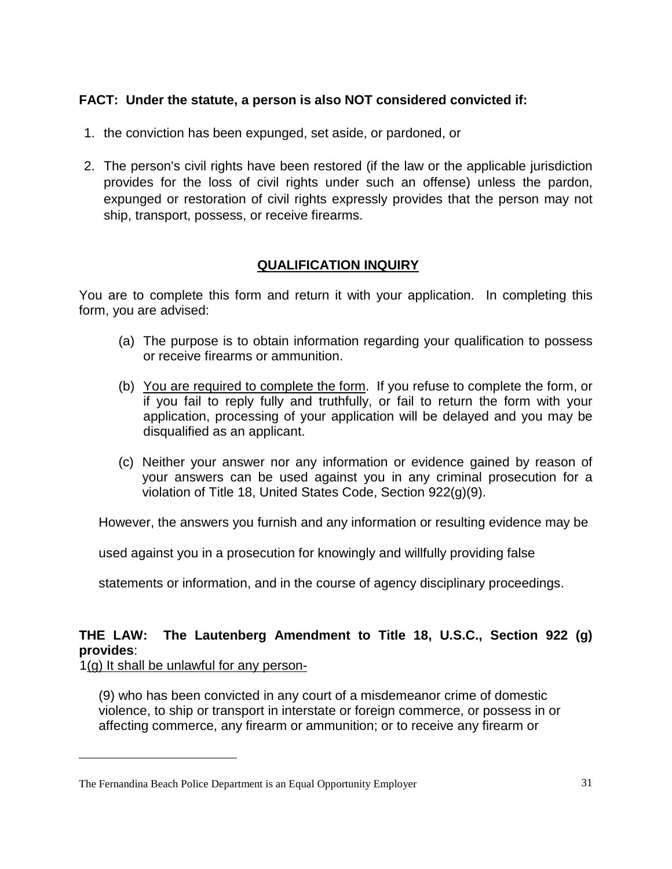# **FACT: Under the statute, a person is also NOT considered convicted if:**

- 1. the conviction has been expunged, set aside, or pardoned, or
- 2. The person's civil rights have been restored (if the law or the applicable jurisdiction provides for the loss of civil rights under such an offense) unless the pardon, expunged or restoration of civil rights expressly provides that the person may not ship, transport, possess, or receive firearms.

# **QUALIFICATION INQUIRY**

You are to complete this form and return it with your application. In completing this form, you are advised:

- (a) The purpose is to obtain information regarding your qualification to possess or receive firearms or ammunition.
- (b) You are required to complete the form. If you refuse to complete the form, or if you fail to reply fully and truthfully, or fail to return the form with your application, processing of your application will be delayed and you may be disqualified as an applicant.
- (c) Neither your answer nor any information or evidence gained by reason of your answers can be used against you in any criminal prosecution for a violation of Title 18, United States Code, Section 922(g)(9).

However, the answers you furnish and any information or resulting evidence may be

used against you in a prosecution for knowingly and willfully providing false

statements or information, and in the course of agency disciplinary proceedings.

# **THE LAW: The Lautenberg Amendment to Title 18, U.S.C., Section 922 (g) provides**:

[1](#page-30-0)(g) It shall be unlawful for any person-

 $\overline{a}$ 

(9) who has been convicted in any court of a misdemeanor crime of domestic violence, to ship or transport in interstate or foreign commerce, or possess in or affecting commerce, any firearm or ammunition; or to receive any firearm or

<span id="page-30-0"></span>The Fernandina Beach Police Department is an Equal Opportunity Employer 31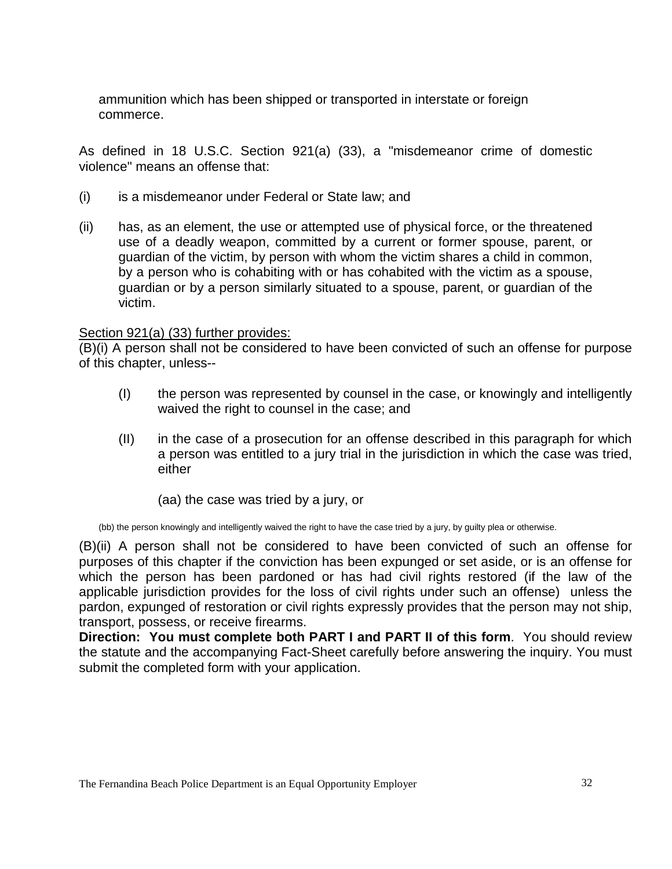ammunition which has been shipped or transported in interstate or foreign commerce.

As defined in 18 U.S.C. Section 921(a) (33), a "misdemeanor crime of domestic violence" means an offense that:

- (i) is a misdemeanor under Federal or State law; and
- (ii) has, as an element, the use or attempted use of physical force, or the threatened use of a deadly weapon, committed by a current or former spouse, parent, or guardian of the victim, by person with whom the victim shares a child in common, by a person who is cohabiting with or has cohabited with the victim as a spouse, guardian or by a person similarly situated to a spouse, parent, or guardian of the victim.

### Section 921(a) (33) further provides:

(B)(i) A person shall not be considered to have been convicted of such an offense for purpose of this chapter, unless--

- (I) the person was represented by counsel in the case, or knowingly and intelligently waived the right to counsel in the case; and
- (II) in the case of a prosecution for an offense described in this paragraph for which a person was entitled to a jury trial in the jurisdiction in which the case was tried, either

(aa) the case was tried by a jury, or

(bb) the person knowingly and intelligently waived the right to have the case tried by a jury, by guilty plea or otherwise.

(B)(ii) A person shall not be considered to have been convicted of such an offense for purposes of this chapter if the conviction has been expunged or set aside, or is an offense for which the person has been pardoned or has had civil rights restored (if the law of the applicable jurisdiction provides for the loss of civil rights under such an offense) unless the pardon, expunged of restoration or civil rights expressly provides that the person may not ship, transport, possess, or receive firearms.

**Direction: You must complete both PART I and PART II of this form**. You should review the statute and the accompanying Fact-Sheet carefully before answering the inquiry. You must submit the completed form with your application.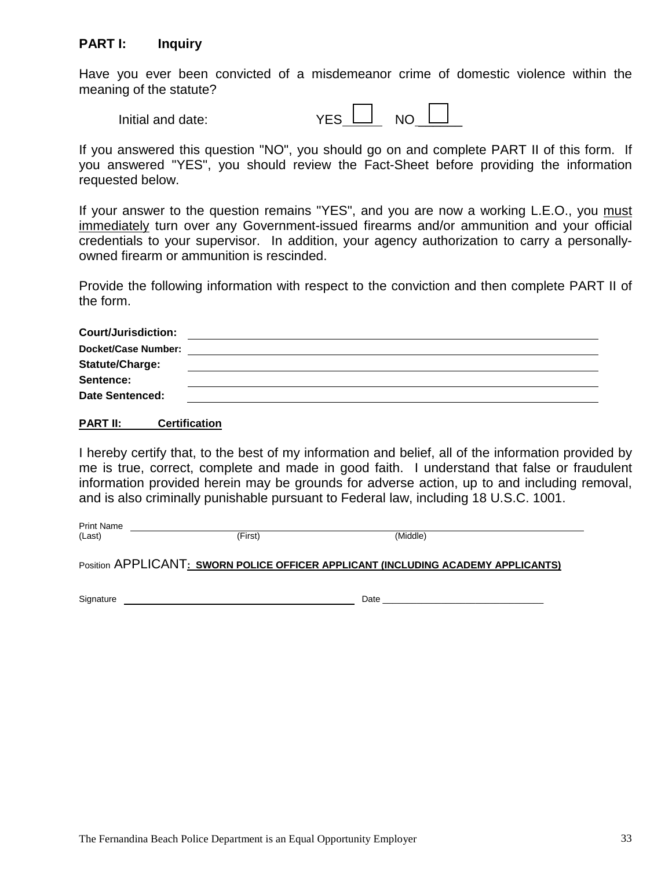## **PART I: Inquiry**

Have you ever been convicted of a misdemeanor crime of domestic violence within the meaning of the statute?

| Initial and date: |  | NC |
|-------------------|--|----|
|-------------------|--|----|

If you answered this question "NO", you should go on and complete PART II of this form. If you answered "YES", you should review the Fact-Sheet before providing the information requested below.

If your answer to the question remains "YES", and you are now a working L.E.O., you must immediately turn over any Government-issued firearms and/or ammunition and your official credentials to your supervisor. In addition, your agency authorization to carry a personallyowned firearm or ammunition is rescinded.

Provide the following information with respect to the conviction and then complete PART II of the form.

| <b>Court/Jurisdiction:</b> |  |
|----------------------------|--|
| <b>Docket/Case Number:</b> |  |
| <b>Statute/Charge:</b>     |  |
| Sentence:                  |  |
| <b>Date Sentenced:</b>     |  |

**PART II: Certification**

I hereby certify that, to the best of my information and belief, all of the information provided by me is true, correct, complete and made in good faith. I understand that false or fraudulent information provided herein may be grounds for adverse action, up to and including removal, and is also criminally punishable pursuant to Federal law, including 18 U.S.C. 1001.

Print Name -(Last) (First) (Middle)

Position APPLICANT**: SWORN POLICE OFFICER APPLICANT (INCLUDING ACADEMY APPLICANTS)**

Signature Date \_\_\_\_\_\_\_\_\_\_\_\_\_\_\_\_\_\_\_\_\_\_\_\_\_\_\_\_\_\_\_\_\_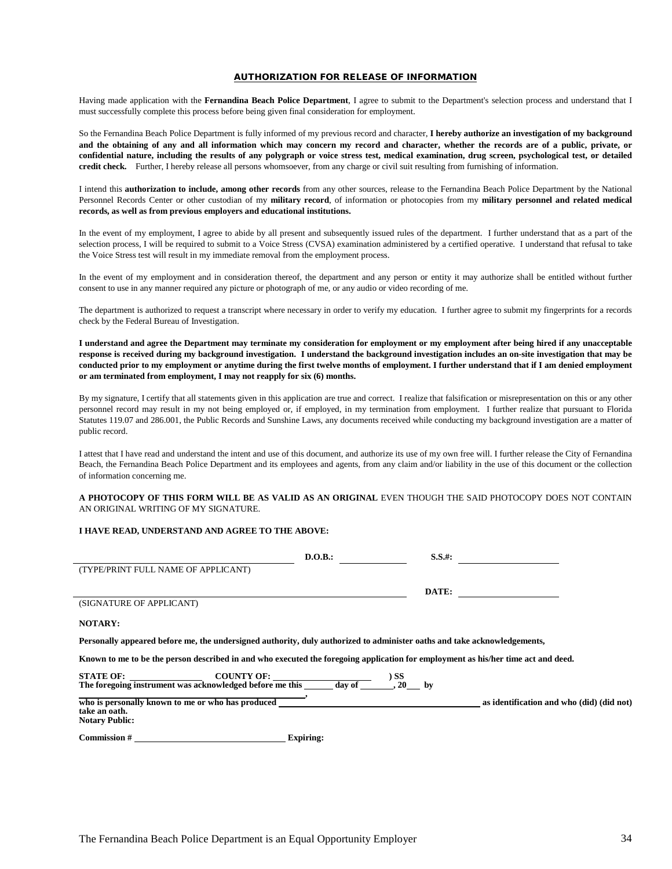#### AUTHORIZATION FOR RELEASE OF INFORMATION

Having made application with the **Fernandina Beach Police Department**, I agree to submit to the Department's selection process and understand that I must successfully complete this process before being given final consideration for employment.

So the Fernandina Beach Police Department is fully informed of my previous record and character, **I hereby authorize an investigation of my background and the obtaining of any and all information which may concern my record and character, whether the records are of a public, private, or confidential nature, including the results of any polygraph or voice stress test, medical examination, drug screen, psychological test, or detailed credit check.** Further, I hereby release all persons whomsoever, from any charge or civil suit resulting from furnishing of information.

I intend this **authorization to include, among other records** from any other sources, release to the Fernandina Beach Police Department by the National Personnel Records Center or other custodian of my **military record**, of information or photocopies from my **military personnel and related medical records, as well as from previous employers and educational institutions.**

In the event of my employment, I agree to abide by all present and subsequently issued rules of the department. I further understand that as a part of the selection process, I will be required to submit to a Voice Stress (CVSA) examination administered by a certified operative. I understand that refusal to take the Voice Stress test will result in my immediate removal from the employment process.

In the event of my employment and in consideration thereof, the department and any person or entity it may authorize shall be entitled without further consent to use in any manner required any picture or photograph of me, or any audio or video recording of me.

The department is authorized to request a transcript where necessary in order to verify my education. I further agree to submit my fingerprints for a records check by the Federal Bureau of Investigation.

**I understand and agree the Department may terminate my consideration for employment or my employment after being hired if any unacceptable response is received during my background investigation. I understand the background investigation includes an on-site investigation that may be conducted prior to my employment or anytime during the first twelve months of employment. I further understand that if I am denied employment or am terminated from employment, I may not reapply for six (6) months.**

By my signature, I certify that all statements given in this application are true and correct. I realize that falsification or misrepresentation on this or any other personnel record may result in my not being employed or, if employed, in my termination from employment. I further realize that pursuant to Florida Statutes 119.07 and 286.001, the Public Records and Sunshine Laws, any documents received while conducting my background investigation are a matter of public record.

I attest that I have read and understand the intent and use of this document, and authorize its use of my own free will. I further release the City of Fernandina Beach, the Fernandina Beach Police Department and its employees and agents, from any claim and/or liability in the use of this document or the collection of information concerning me.

#### **A PHOTOCOPY OF THIS FORM WILL BE AS VALID AS AN ORIGINAL** EVEN THOUGH THE SAID PHOTOCOPY DOES NOT CONTAIN AN ORIGINAL WRITING OF MY SIGNATURE.

#### **I HAVE READ, UNDERSTAND AND AGREE TO THE ABOVE:**

|                                                                                                                                   | $\mathbf{D}.\mathbf{O}.\mathbf{B}$ .: | $S.S.$ #:           |                                           |
|-----------------------------------------------------------------------------------------------------------------------------------|---------------------------------------|---------------------|-------------------------------------------|
| (TYPE/PRINT FULL NAME OF APPLICANT)                                                                                               |                                       |                     |                                           |
|                                                                                                                                   |                                       | DATE:               |                                           |
| (SIGNATURE OF APPLICANT)                                                                                                          |                                       |                     |                                           |
| <b>NOTARY:</b>                                                                                                                    |                                       |                     |                                           |
| Personally appeared before me, the undersigned authority, duly authorized to administer oaths and take acknowledgements,          |                                       |                     |                                           |
| Known to me to be the person described in and who executed the foregoing application for employment as his/her time act and deed. |                                       |                     |                                           |
|                                                                                                                                   |                                       | ) SS<br>$.20 \t by$ |                                           |
| who is personally known to me or who has produced<br>take an oath.<br><b>Notary Public:</b>                                       |                                       |                     | as identification and who (did) (did not) |
| Commission #                                                                                                                      | <b>Expiring:</b>                      |                     |                                           |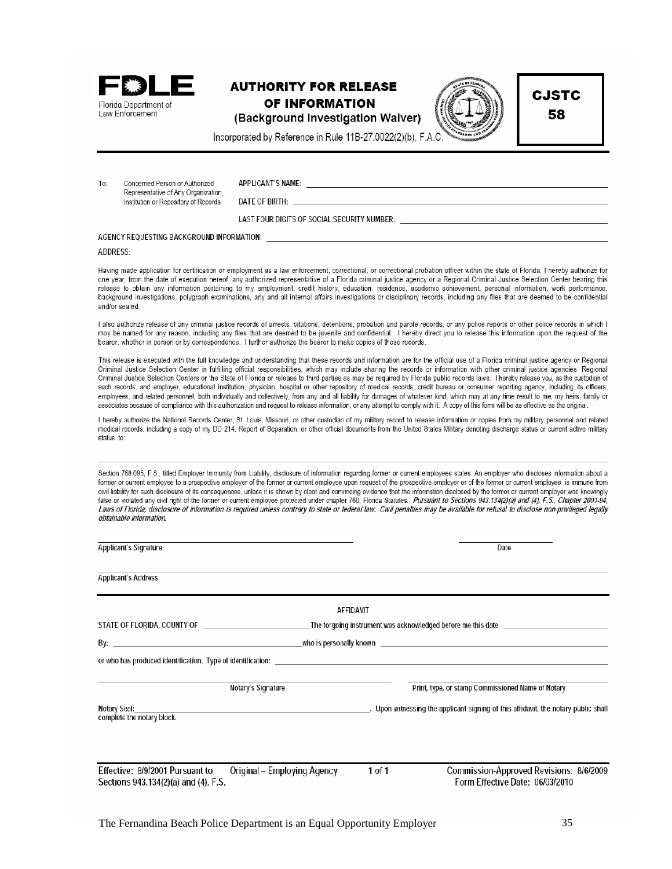

### **AUTHORITY FOR RELEASE** OF INFORMATION



**CJSTC** 58

(Background Investigation Waiver) Incorporated by Reference in Rule 11B-27.0022(2)(b), F.A.C

To: Concerned Person or Authorized Representative of Any Organization, Institution or Repository of Records

**APPLICANT'S NAME:** 

DATE OF BIRTH:

LAST FOUR DIGITS OF SOCIAL SECURITY NUMBER:

AGENCY REQUESTING BACKGROUND INFORMATION:

#### ADDRESS:

Having made application for certification or employment as a law enforcement, correctional, or correctional probation officer within the state of Florida, I hereby authorize for one year, from the date of execution hereof, any authorized representative of a Florida criminal justice agency or a Regional Criminal Justice Selection Center bearing this release to obtain any information pertaining to my employment, credit history, education, residence, academic achievement, personal information, work performance, background investigations, polygraph examinations, any and all internal affairs investigations or disciplinary records, including any files that are deemed to be confidential and/or sealed.

I also authorize release of any criminal justice records of arrests, citations, detentions, probation and parole records, or any police reports or other police records in which I may be named for any reason, including any files that are deemed to be juvenile and confidential. I hereby direct you to release this information upon the request of the bearer, whether in person or by correspondence. I further authorize the bearer to make copies of these records.

This release is executed with the full knowledge and understanding that these records and information are for the official use of a Florida criminal justice agency or Regional Criminal Justice Selection Center in fulfilling official responsibilities, which may include sharing the records or information with other criminal justice agencies, Regional Criminal Justice Selection Centers or the State of Florida or release to third parties as may be required by Florida public records laws. I hereby release you, as the custodian of such records, and employer, educational institution, physician, hospital or other repository of medical records, credit bureau or consumer reporting agency, including its officers, employees, and related personnel, both individually and collectively, from any and all liability for damages of whatever kind, which may at any time result to me, my heirs, family or associates because of compliance with this authorization and request to release information, or any attempt to comply with it. A copy of this form will be as effective as the original.

I hereby authorize the National Records Center, St. Louis, Missouri, or other custodian of my military record to release information or copies from my military personnel and related medical records, including a copy of my DD 214, Report of Separation, or other official documents from the United States Military denoting discharge status or current active military status to:

Section 768.095, F.S., titled Employer Immunity from Liability; disclosure of information regarding former or current employees states: An employer who discloses information about a former or current employee to a prospective employer of the former or current employee upon request of the prospective employer or of the former or current employee, is immune from civil liability for such disclosure of its consequences, unless it is shown by clear and convincing evidence that the information disclosed by the former or current employer was knowingly false or violated any civil right of the former or current employee protected under chapter 760, Florida Statutes. Pursuant to Sections 943.134(2)(a) and (4), F.S., Chapter 2001-94, Laws of Florida, disclosure of information is required unless contrary to state or federal law. Civil penalties may be available for refusal to disclose non-privileged legally obtainable information.

| Applicant's Signature                                                                                  | Date                                                                                                                                                                                                                           |  |  |
|--------------------------------------------------------------------------------------------------------|--------------------------------------------------------------------------------------------------------------------------------------------------------------------------------------------------------------------------------|--|--|
| <b>Applicant's Address</b>                                                                             |                                                                                                                                                                                                                                |  |  |
|                                                                                                        | <b>AFFIDAVIT</b>                                                                                                                                                                                                               |  |  |
| STATE OF FLORIDA, COUNTY OF                                                                            | The forgoing instrument was acknowledged before me this date                                                                                                                                                                   |  |  |
|                                                                                                        |                                                                                                                                                                                                                                |  |  |
|                                                                                                        |                                                                                                                                                                                                                                |  |  |
| Notary's Signature                                                                                     | Print, type, or stamp Commissioned Name of Notary                                                                                                                                                                              |  |  |
| complete the notary block.                                                                             | Notary Seal: example and the state of the state of the state of the state of the state of the state of the state of the state of the state of the state of the state of the state of the state of the state of the state of th |  |  |
| Effective: 8/9/2001 Pursuant to<br>Original – Employing Agency<br>Sections 943.134(2)(a) and (4), F.S. | Commission-Approved Revisions: 8/6/2009<br>1 of 1<br>Form Effective Date: 06/03/2010                                                                                                                                           |  |  |